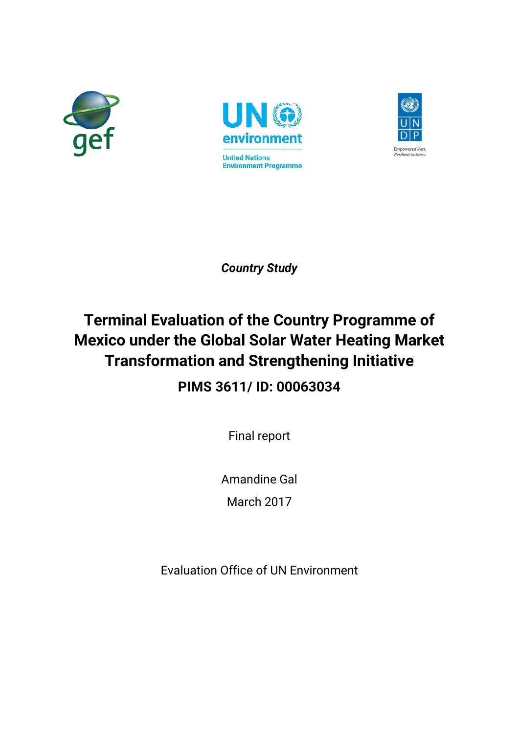





*Country Study*

# **Terminal Evaluation of the Country Programme of Mexico under the Global Solar Water Heating Market Transformation and Strengthening Initiative**

**PIMS 3611/ ID: 00063034**

Final report

Amandine Gal

March 2017

Evaluation Office of UN Environment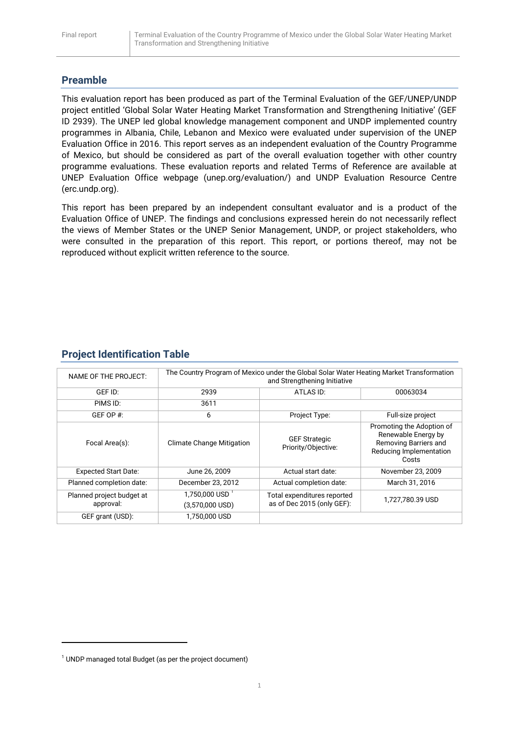# **Preamble**

This evaluation report has been produced as part of the Terminal Evaluation of the GEF/UNEP/UNDP project entitled 'Global Solar Water Heating Market Transformation and Strengthening Initiative' (GEF ID 2939). The UNEP led global knowledge management component and UNDP implemented country programmes in Albania, Chile, Lebanon and Mexico were evaluated under supervision of the UNEP Evaluation Office in 2016. This report serves as an independent evaluation of the Country Programme of Mexico, but should be considered as part of the overall evaluation together with other country programme evaluations. These evaluation reports and related Terms of Reference are available at UNEP Evaluation Office webpage (unep.org/evaluation/) and UNDP Evaluation Resource Centre (erc.undp.org).

This report has been prepared by an independent consultant evaluator and is a product of the Evaluation Office of UNEP. The findings and conclusions expressed herein do not necessarily reflect the views of Member States or the UNEP Senior Management, UNDP, or project stakeholders, who were consulted in the preparation of this report. This report, or portions thereof, may not be reproduced without explicit written reference to the source.

| NAME OF THE PROJECT:                   | The Country Program of Mexico under the Global Solar Water Heating Market Transformation<br>and Strengthening Initiative |                                                           |                                                                                                               |
|----------------------------------------|--------------------------------------------------------------------------------------------------------------------------|-----------------------------------------------------------|---------------------------------------------------------------------------------------------------------------|
| GEF ID:                                | 2939                                                                                                                     | ATLAS ID:                                                 | 00063034                                                                                                      |
| PIMS ID:                               | 3611                                                                                                                     |                                                           |                                                                                                               |
| GEF OP $#$ :                           | 6                                                                                                                        | Project Type:                                             | Full-size project                                                                                             |
| Focal Area(s):                         | <b>Climate Change Mitigation</b>                                                                                         | <b>GEF Strategic</b><br>Priority/Objective:               | Promoting the Adoption of<br>Renewable Energy by<br>Removing Barriers and<br>Reducing Implementation<br>Costs |
| <b>Expected Start Date:</b>            | June 26, 2009                                                                                                            | Actual start date:                                        | November 23, 2009                                                                                             |
| Planned completion date:               | December 23, 2012                                                                                                        | Actual completion date:                                   | March 31, 2016                                                                                                |
| Planned project budget at<br>approval: | $1.750.000$ USD <sup>-1</sup><br>$(3,570,000$ USD)                                                                       | Total expenditures reported<br>as of Dec 2015 (only GEF): | 1,727,780.39 USD                                                                                              |
| GEF grant (USD):                       | 1,750,000 USD                                                                                                            |                                                           |                                                                                                               |

# **Project Identification Table**

**.** 

 $1$  UNDP managed total Budget (as per the project document)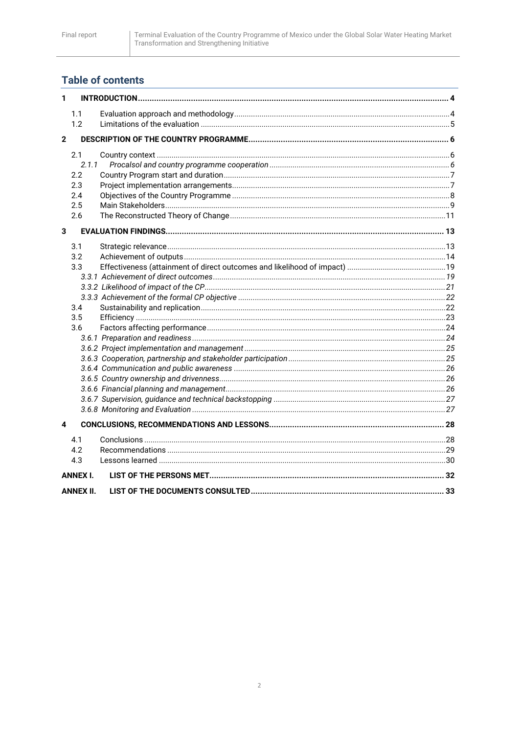# **Table of contents**

| 1            |                 |  |
|--------------|-----------------|--|
|              | 1.1             |  |
|              | 1.2             |  |
| $\mathbf{2}$ |                 |  |
|              |                 |  |
|              | 2.1             |  |
|              | 2.1.1           |  |
|              | 2.2             |  |
|              | 2.3             |  |
|              | 2.4             |  |
|              | 2.5<br>2.6      |  |
|              |                 |  |
| 3            |                 |  |
|              | 3.1             |  |
|              | 3.2             |  |
|              | 3.3             |  |
|              |                 |  |
|              |                 |  |
|              |                 |  |
|              | 3.4             |  |
|              | 3.5             |  |
|              | 3.6             |  |
|              |                 |  |
|              |                 |  |
|              |                 |  |
|              |                 |  |
|              |                 |  |
|              |                 |  |
|              |                 |  |
| 4            |                 |  |
|              | 4.1             |  |
|              | 4.2             |  |
|              | 4.3             |  |
|              |                 |  |
|              | <b>ANNEX I.</b> |  |
|              | ANNEX II.       |  |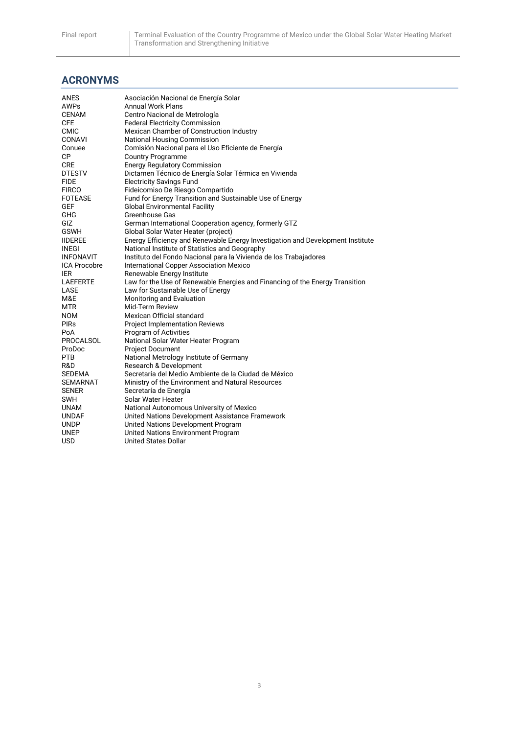# **ACRONYMS**

| <b>Annual Work Plans</b><br>AWPs<br><b>CENAM</b><br>Centro Nacional de Metrología                |  |
|--------------------------------------------------------------------------------------------------|--|
|                                                                                                  |  |
|                                                                                                  |  |
| <b>CFE</b><br><b>Federal Electricity Commission</b>                                              |  |
| <b>CMIC</b><br>Mexican Chamber of Construction Industry                                          |  |
| CONAVI<br>National Housing Commission                                                            |  |
| Comisión Nacional para el Uso Eficiente de Energía<br>Conuee                                     |  |
| СP<br><b>Country Programme</b>                                                                   |  |
| <b>CRE</b><br><b>Energy Regulatory Commission</b>                                                |  |
| Dictamen Técnico de Energía Solar Térmica en Vivienda<br><b>DTESTV</b>                           |  |
| <b>FIDE</b><br><b>Electricity Savings Fund</b>                                                   |  |
| <b>FIRCO</b><br>Fideicomiso De Riesgo Compartido                                                 |  |
| <b>FOTEASE</b><br>Fund for Energy Transition and Sustainable Use of Energy                       |  |
| <b>GEF</b><br><b>Global Environmental Facility</b>                                               |  |
| GHG<br>Greenhouse Gas                                                                            |  |
| GIZ<br>German International Cooperation agency, formerly GTZ                                     |  |
| <b>GSWH</b><br>Global Solar Water Heater (project)                                               |  |
| Energy Efficiency and Renewable Energy Investigation and Development Institute<br><b>IIDEREE</b> |  |
| National Institute of Statistics and Geography<br>INEGI                                          |  |
| <b>INFONAVIT</b><br>Instituto del Fondo Nacional para la Vivienda de los Trabajadores            |  |
| International Copper Association Mexico<br><b>ICA Procobre</b>                                   |  |
| Renewable Energy Institute<br>IER                                                                |  |
| Law for the Use of Renewable Energies and Financing of the Energy Transition<br><b>LAEFERTE</b>  |  |
| LASE<br>Law for Sustainable Use of Energy                                                        |  |
| M&E<br>Monitoring and Evaluation                                                                 |  |
| Mid-Term Review<br><b>MTR</b>                                                                    |  |
| Mexican Official standard<br><b>NOM</b>                                                          |  |
| <b>PIRs</b><br><b>Project Implementation Reviews</b>                                             |  |
| Program of Activities<br>PoA                                                                     |  |
| PROCALSOL<br>National Solar Water Heater Program                                                 |  |
| ProDoc<br><b>Project Document</b>                                                                |  |
| <b>PTB</b><br>National Metrology Institute of Germany                                            |  |
| R&D<br>Research & Development                                                                    |  |
| Secretaría del Medio Ambiente de la Ciudad de México<br><b>SEDEMA</b>                            |  |
| <b>SEMARNAT</b><br>Ministry of the Environment and Natural Resources                             |  |
| Secretaría de Energía<br><b>SENER</b>                                                            |  |
| SWH<br>Solar Water Heater                                                                        |  |
| <b>UNAM</b><br>National Autonomous University of Mexico                                          |  |
| United Nations Development Assistance Framework<br><b>UNDAF</b>                                  |  |
| United Nations Development Program<br>UNDP                                                       |  |
| United Nations Environment Program<br><b>UNEP</b>                                                |  |
| <b>USD</b><br><b>United States Dollar</b>                                                        |  |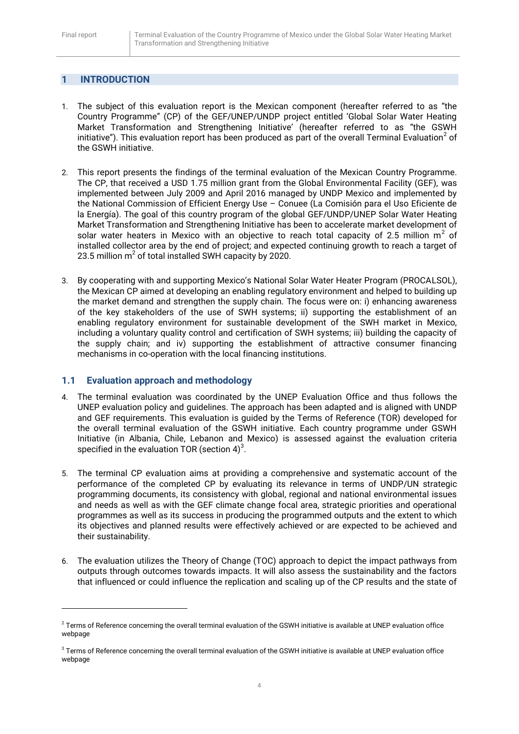1

# <span id="page-4-0"></span>**1 INTRODUCTION**

- 1. The subject of this evaluation report is the Mexican component (hereafter referred to as "the Country Programme" (CP) of the GEF/UNEP/UNDP project entitled 'Global Solar Water Heating Market Transformation and Strengthening Initiative' (hereafter referred to as "the GSWH initiative"). This evaluation report has been produced as part of the overall Terminal Evaluation<sup>2</sup> of the GSWH initiative.
- 2. This report presents the findings of the terminal evaluation of the Mexican Country Programme. The CP, that received a USD 1.75 million grant from the Global Environmental Facility (GEF), was implemented between July 2009 and April 2016 managed by UNDP Mexico and implemented by the National Commission of Efficient Energy Use – Conuee (La Comisión para el Uso Eficiente de la Energía). The goal of this country program of the global GEF/UNDP/UNEP Solar Water Heating Market Transformation and Strengthening Initiative has been to accelerate market development of solar water heaters in Mexico with an objective to reach total capacity of 2.5 million  $m^2$  of installed collector area by the end of project; and expected continuing growth to reach a target of 23.5 million  $m^2$  of total installed SWH capacity by 2020.
- 3. By cooperating with and supporting Mexico's National Solar Water Heater Program (PROCALSOL), the Mexican CP aimed at developing an enabling regulatory environment and helped to building up the market demand and strengthen the supply chain. The focus were on: i) enhancing awareness of the key stakeholders of the use of SWH systems; ii) supporting the establishment of an enabling regulatory environment for sustainable development of the SWH market in Mexico, including a voluntary quality control and certification of SWH systems; iii) building the capacity of the supply chain; and iv) supporting the establishment of attractive consumer financing mechanisms in co-operation with the local financing institutions.

#### <span id="page-4-1"></span>**1.1 Evaluation approach and methodology**

- 4. The terminal evaluation was coordinated by the UNEP Evaluation Office and thus follows the UNEP evaluation policy and guidelines. The approach has been adapted and is aligned with UNDP and GEF requirements. This evaluation is guided by the Terms of Reference (TOR) developed for the overall terminal evaluation of the GSWH initiative. Each country programme under GSWH Initiative (in Albania, Chile, Lebanon and Mexico) is assessed against the evaluation criteria specified in the evaluation TOR (section 4) $3$ .
- 5. The terminal CP evaluation aims at providing a comprehensive and systematic account of the performance of the completed CP by evaluating its relevance in terms of UNDP/UN strategic programming documents, its consistency with global, regional and national environmental issues and needs as well as with the GEF climate change focal area, strategic priorities and operational programmes as well as its success in producing the programmed outputs and the extent to which its objectives and planned results were effectively achieved or are expected to be achieved and their sustainability.
- 6. The evaluation utilizes the Theory of Change (TOC) approach to depict the impact pathways from outputs through outcomes towards impacts. It will also assess the sustainability and the factors that influenced or could influence the replication and scaling up of the CP results and the state of

 $^2$  Terms of Reference concerning the overall terminal evaluation of the GSWH initiative is available at UNEP evaluation office webpage

 $^3$  Terms of Reference concerning the overall terminal evaluation of the GSWH initiative is available at UNEP evaluation office webpage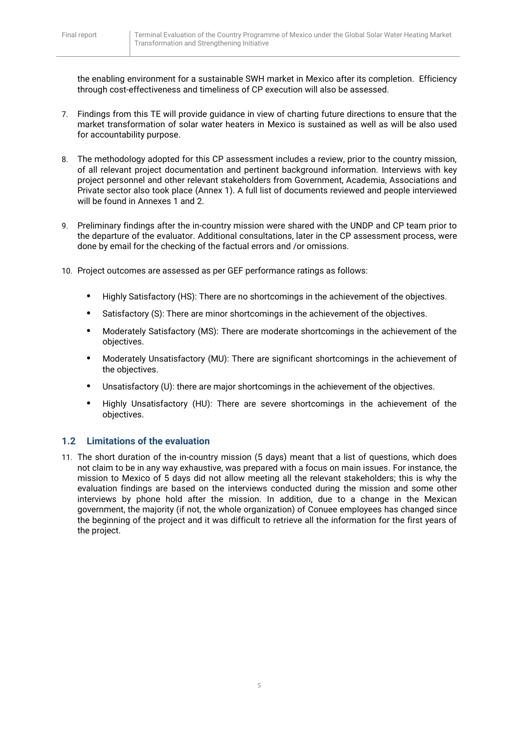the enabling environment for a sustainable SWH market in Mexico after its completion. Efficiency through cost-effectiveness and timeliness of CP execution will also be assessed.

- 7. Findings from this TE will provide guidance in view of charting future directions to ensure that the market transformation of solar water heaters in Mexico is sustained as well as will be also used for accountability purpose.
- 8. The methodology adopted for this CP assessment includes a review, prior to the country mission, of all relevant project documentation and pertinent background information. Interviews with key project personnel and other relevant stakeholders from Government, Academia, Associations and Private sector also took place (Annex 1). A full list of documents reviewed and people interviewed will be found in Annexes 1 and 2.
- 9. Preliminary findings after the in-country mission were shared with the UNDP and CP team prior to the departure of the evaluator. Additional consultations, later in the CP assessment process, were done by email for the checking of the factual errors and /or omissions.
- 10. Project outcomes are assessed as per GEF performance ratings as follows:
	- **•** Highly Satisfactory (HS): There are no shortcomings in the achievement of the objectives.
	- **•** Satisfactory (S): There are minor shortcomings in the achievement of the objectives.
	- **•** Moderately Satisfactory (MS): There are moderate shortcomings in the achievement of the objectives.
	- **•** Moderately Unsatisfactory (MU): There are significant shortcomings in the achievement of the objectives.
	- **•** Unsatisfactory (U): there are major shortcomings in the achievement of the objectives.
	- **•** Highly Unsatisfactory (HU): There are severe shortcomings in the achievement of the objectives.

# <span id="page-5-0"></span>**1.2 Limitations of the evaluation**

11. The short duration of the in-country mission (5 days) meant that a list of questions, which does not claim to be in any way exhaustive, was prepared with a focus on main issues. For instance, the mission to Mexico of 5 days did not allow meeting all the relevant stakeholders; this is why the evaluation findings are based on the interviews conducted during the mission and some other interviews by phone hold after the mission. In addition, due to a change in the Mexican government, the majority (if not, the whole organization) of Conuee employees has changed since the beginning of the project and it was difficult to retrieve all the information for the first years of the project.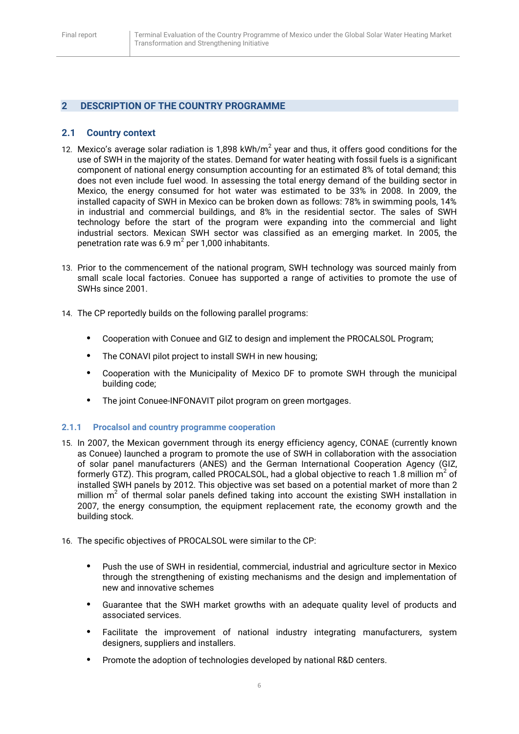## <span id="page-6-0"></span>**2 DESCRIPTION OF THE COUNTRY PROGRAMME**

#### <span id="page-6-1"></span>**2.1 Country context**

- 12. Mexico's average solar radiation is 1,898 kWh/m<sup>2</sup> year and thus, it offers good conditions for the use of SWH in the majority of the states. Demand for water heating with fossil fuels is a significant component of national energy consumption accounting for an estimated 8% of total demand; this does not even include fuel wood. In assessing the total energy demand of the building sector in Mexico, the energy consumed for hot water was estimated to be 33% in 2008. In 2009, the installed capacity of SWH in Mexico can be broken down as follows: 78% in swimming pools, 14% in industrial and commercial buildings, and 8% in the residential sector. The sales of SWH technology before the start of the program were expanding into the commercial and light industrial sectors. Mexican SWH sector was classified as an emerging market. In 2005, the penetration rate was 6.9 m<sup>2</sup> per 1,000 inhabitants.
- 13. Prior to the commencement of the national program, SWH technology was sourced mainly from small scale local factories. Conuee has supported a range of activities to promote the use of SWHs since 2001.
- 14. The CP reportedly builds on the following parallel programs:
	- **•** Cooperation with Conuee and GIZ to design and implement the PROCALSOL Program;
	- **•** The CONAVI pilot project to install SWH in new housing;
	- **•** Cooperation with the Municipality of Mexico DF to promote SWH through the municipal building code;
	- **•** The joint Conuee-INFONAVIT pilot program on green mortgages.

#### <span id="page-6-2"></span>**2.1.1 Procalsol and country programme cooperation**

- 15. In 2007, the Mexican government through its energy efficiency agency, CONAE (currently known as Conuee) launched a program to promote the use of SWH in collaboration with the association of solar panel manufacturers (ANES) and the German International Cooperation Agency (GIZ, formerly GTZ). This program, called PROCALSOL, had a global objective to reach 1.8 million  $m^2$  of installed SWH panels by 2012. This objective was set based on a potential market of more than 2 million  $m<sup>2</sup>$  of thermal solar panels defined taking into account the existing SWH installation in 2007, the energy consumption, the equipment replacement rate, the economy growth and the building stock.
- 16. The specific objectives of PROCALSOL were similar to the CP:
	- **•** Push the use of SWH in residential, commercial, industrial and agriculture sector in Mexico through the strengthening of existing mechanisms and the design and implementation of new and innovative schemes
	- **•** Guarantee that the SWH market growths with an adequate quality level of products and associated services.
	- **•** Facilitate the improvement of national industry integrating manufacturers, system designers, suppliers and installers.
	- **•** Promote the adoption of technologies developed by national R&D centers.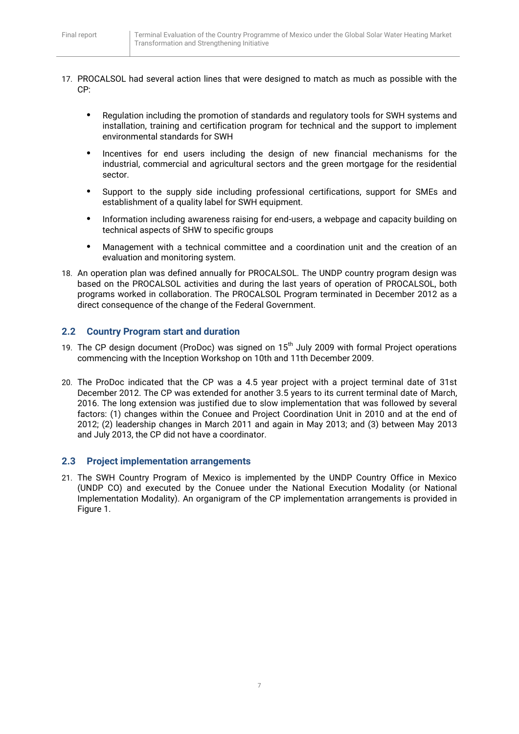- 17. PROCALSOL had several action lines that were designed to match as much as possible with the CP:
	- **•** Regulation including the promotion of standards and regulatory tools for SWH systems and installation, training and certification program for technical and the support to implement environmental standards for SWH
	- **•** Incentives for end users including the design of new financial mechanisms for the industrial, commercial and agricultural sectors and the green mortgage for the residential sector.
	- **•** Support to the supply side including professional certifications, support for SMEs and establishment of a quality label for SWH equipment.
	- **•** Information including awareness raising for end-users, a webpage and capacity building on technical aspects of SHW to specific groups
	- **•** Management with a technical committee and a coordination unit and the creation of an evaluation and monitoring system.
- 18. An operation plan was defined annually for PROCALSOL. The UNDP country program design was based on the PROCALSOL activities and during the last years of operation of PROCALSOL, both programs worked in collaboration. The PROCALSOL Program terminated in December 2012 as a direct consequence of the change of the Federal Government.

# <span id="page-7-0"></span>**2.2 Country Program start and duration**

- 19. The CP design document (ProDoc) was signed on  $15<sup>th</sup>$  July 2009 with formal Project operations commencing with the Inception Workshop on 10th and 11th December 2009.
- 20. The ProDoc indicated that the CP was a 4.5 year project with a project terminal date of 31st December 2012. The CP was extended for another 3.5 years to its current terminal date of March, 2016. The long extension was justified due to slow implementation that was followed by several factors: (1) changes within the Conuee and Project Coordination Unit in 2010 and at the end of 2012; (2) leadership changes in March 2011 and again in May 2013; and (3) between May 2013 and July 2013, the CP did not have a coordinator.

#### <span id="page-7-1"></span>**2.3 Project implementation arrangements**

21. The SWH Country Program of Mexico is implemented by the UNDP Country Office in Mexico (UNDP CO) and executed by the Conuee under the National Execution Modality (or National Implementation Modality). An organigram of the CP implementation arrangements is provided in Figure 1.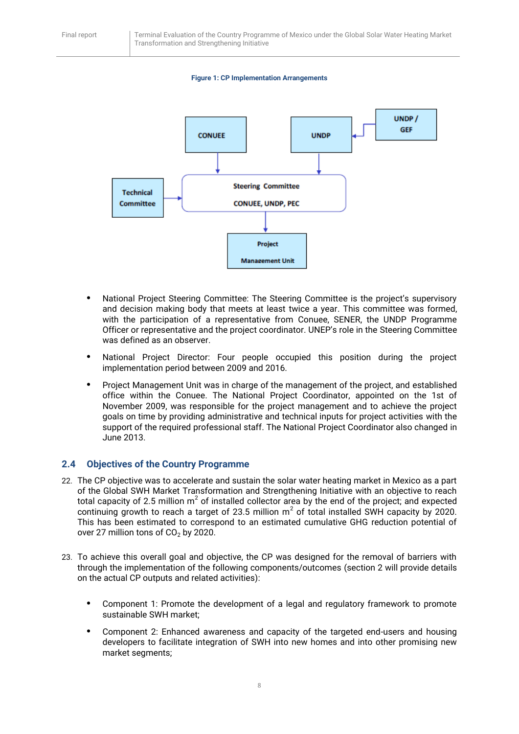#### **Figure 1: CP Implementation Arrangements**



- **•** National Project Steering Committee: The Steering Committee is the project's supervisory and decision making body that meets at least twice a year. This committee was formed, with the participation of a representative from Conuee, SENER, the UNDP Programme Officer or representative and the project coordinator. UNEP's role in the Steering Committee was defined as an observer.
- **•** National Project Director: Four people occupied this position during the project implementation period between 2009 and 2016.
- **•** Project Management Unit was in charge of the management of the project, and established office within the Conuee. The National Project Coordinator, appointed on the 1st of November 2009, was responsible for the project management and to achieve the project goals on time by providing administrative and technical inputs for project activities with the support of the required professional staff. The National Project Coordinator also changed in June 2013.

#### <span id="page-8-0"></span>**2.4 Objectives of the Country Programme**

- 22. The CP objective was to accelerate and sustain the solar water heating market in Mexico as a part of the Global SWH Market Transformation and Strengthening Initiative with an objective to reach total capacity of 2.5 million m<sup>2</sup> of installed collector area by the end of the project; and expected continuing growth to reach a target of 23.5 million  $m^2$  of total installed SWH capacity by 2020. This has been estimated to correspond to an estimated cumulative GHG reduction potential of over 27 million tons of  $CO<sub>2</sub>$  by 2020.
- 23. To achieve this overall goal and objective, the CP was designed for the removal of barriers with through the implementation of the following components/outcomes (section 2 will provide details on the actual CP outputs and related activities):
	- **•** Component 1: Promote the development of a legal and regulatory framework to promote sustainable SWH market;
	- **•** Component 2: Enhanced awareness and capacity of the targeted end-users and housing developers to facilitate integration of SWH into new homes and into other promising new market segments;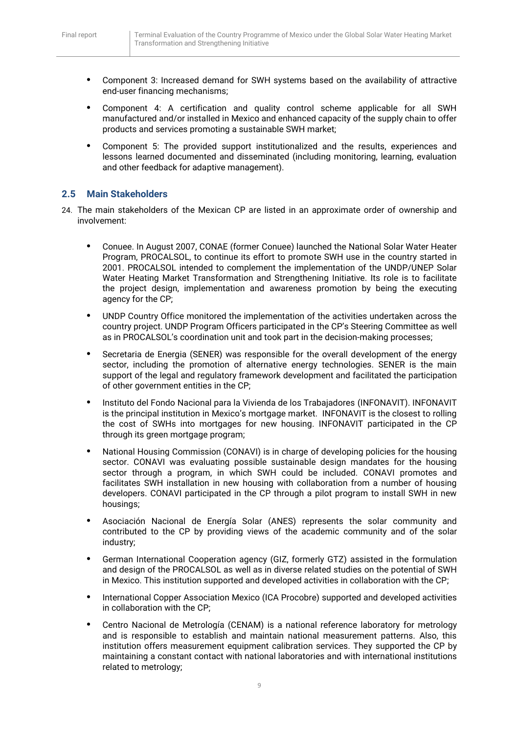- **•** Component 3: Increased demand for SWH systems based on the availability of attractive end-user financing mechanisms;
- **•** Component 4: A certification and quality control scheme applicable for all SWH manufactured and/or installed in Mexico and enhanced capacity of the supply chain to offer products and services promoting a sustainable SWH market;
- **•** Component 5: The provided support institutionalized and the results, experiences and lessons learned documented and disseminated (including monitoring, learning, evaluation and other feedback for adaptive management).

## <span id="page-9-0"></span>**2.5 Main Stakeholders**

- 24. The main stakeholders of the Mexican CP are listed in an approximate order of ownership and involvement:
	- **•** Conuee. In August 2007, CONAE (former Conuee) launched the National Solar Water Heater Program, PROCALSOL, to continue its effort to promote SWH use in the country started in 2001. PROCALSOL intended to complement the implementation of the UNDP/UNEP Solar Water Heating Market Transformation and Strengthening Initiative. Its role is to facilitate the project design, implementation and awareness promotion by being the executing agency for the CP;
	- **•** UNDP Country Office monitored the implementation of the activities undertaken across the country project. UNDP Program Officers participated in the CP's Steering Committee as well as in PROCALSOL's coordination unit and took part in the decision-making processes;
	- **•** Secretaria de Energia (SENER) was responsible for the overall development of the energy sector, including the promotion of alternative energy technologies. SENER is the main support of the legal and regulatory framework development and facilitated the participation of other government entities in the CP;
	- **•** Instituto del Fondo Nacional para la Vivienda de los Trabajadores (INFONAVIT). INFONAVIT is the principal institution in Mexico's mortgage market. INFONAVIT is the closest to rolling the cost of SWHs into mortgages for new housing. INFONAVIT participated in the CP through its green mortgage program;
	- **•** National Housing Commission (CONAVI) is in charge of developing policies for the housing sector. CONAVI was evaluating possible sustainable design mandates for the housing sector through a program, in which SWH could be included. CONAVI promotes and facilitates SWH installation in new housing with collaboration from a number of housing developers. CONAVI participated in the CP through a pilot program to install SWH in new housings;
	- **•** Asociación Nacional de Energía Solar (ANES) represents the solar community and contributed to the CP by providing views of the academic community and of the solar industry;
	- **•** German International Cooperation agency (GIZ, formerly GTZ) assisted in the formulation and design of the PROCALSOL as well as in diverse related studies on the potential of SWH in Mexico. This institution supported and developed activities in collaboration with the CP;
	- **•** International Copper Association Mexico (ICA Procobre) supported and developed activities in collaboration with the CP;
	- **•** Centro Nacional de Metrología (CENAM) is a national reference laboratory for metrology and is responsible to establish and maintain national measurement patterns. Also, this institution offers measurement equipment calibration services. They supported the CP by maintaining a constant contact with national laboratories and with international institutions related to metrology;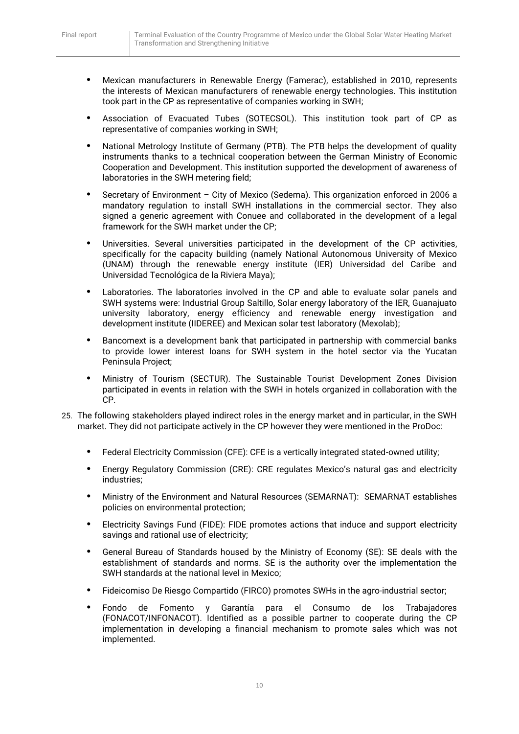- **•** Mexican manufacturers in Renewable Energy (Famerac), established in 2010, represents the interests of Mexican manufacturers of renewable energy technologies. This institution took part in the CP as representative of companies working in SWH;
- **•** Association of Evacuated Tubes (SOTECSOL). This institution took part of CP as representative of companies working in SWH;
- **•** National Metrology Institute of Germany (PTB). The PTB helps the development of quality instruments thanks to a technical cooperation between the German Ministry of Economic Cooperation and Development. This institution supported the development of awareness of laboratories in the SWH metering field;
- **•** Secretary of Environment City of Mexico (Sedema). This organization enforced in 2006 a mandatory regulation to install SWH installations in the commercial sector. They also signed a generic agreement with Conuee and collaborated in the development of a legal framework for the SWH market under the CP;
- **•** Universities. Several universities participated in the development of the CP activities, specifically for the capacity building (namely National Autonomous University of Mexico (UNAM) through the renewable energy institute (IER) Universidad del Caribe and Universidad Tecnológica de la Riviera Maya);
- **•** Laboratories. The laboratories involved in the CP and able to evaluate solar panels and SWH systems were: Industrial Group Saltillo, Solar energy laboratory of the IER, Guanajuato university laboratory, energy efficiency and renewable energy investigation and development institute (IIDEREE) and Mexican solar test laboratory (Mexolab);
- **•** Bancomext is a development bank that participated in partnership with commercial banks to provide lower interest loans for SWH system in the hotel sector via the Yucatan Peninsula Project;
- **•** Ministry of Tourism (SECTUR). The Sustainable Tourist Development Zones Division participated in events in relation with the SWH in hotels organized in collaboration with the CP.
- 25. The following stakeholders played indirect roles in the energy market and in particular, in the SWH market. They did not participate actively in the CP however they were mentioned in the ProDoc:
	- **•** Federal Electricity Commission (CFE): CFE is a vertically integrated stated-owned utility;
	- **•** Energy Regulatory Commission (CRE): CRE regulates Mexico's natural gas and electricity industries;
	- **•** Ministry of the Environment and Natural Resources (SEMARNAT): SEMARNAT establishes policies on environmental protection;
	- **•** Electricity Savings Fund (FIDE): FIDE promotes actions that induce and support electricity savings and rational use of electricity;
	- **•** General Bureau of Standards housed by the Ministry of Economy (SE): SE deals with the establishment of standards and norms. SE is the authority over the implementation the SWH standards at the national level in Mexico;
	- **•** Fideicomiso De Riesgo Compartido (FIRCO) promotes SWHs in the agro-industrial sector;
	- **•** Fondo de Fomento y Garantía para el Consumo de los Trabajadores (FONACOT/INFONACOT). Identified as a possible partner to cooperate during the CP implementation in developing a financial mechanism to promote sales which was not implemented.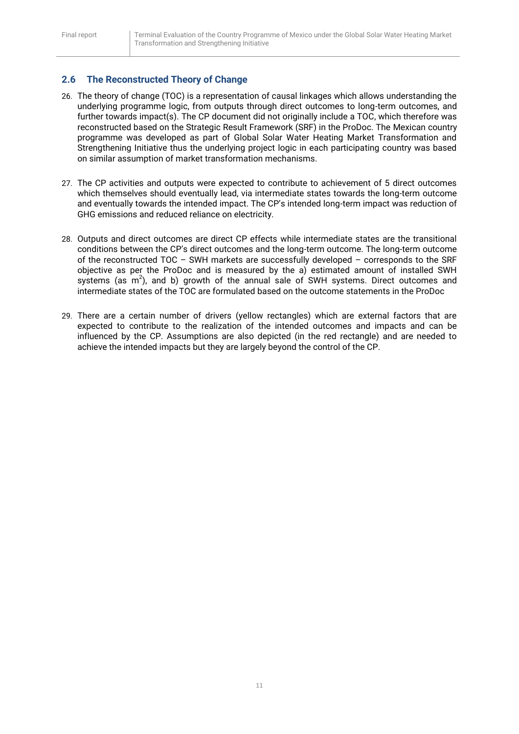# <span id="page-11-0"></span>**2.6 The Reconstructed Theory of Change**

- 26. The theory of change (TOC) is a representation of causal linkages which allows understanding the underlying programme logic, from outputs through direct outcomes to long-term outcomes, and further towards impact(s). The CP document did not originally include a TOC, which therefore was reconstructed based on the Strategic Result Framework (SRF) in the ProDoc. The Mexican country programme was developed as part of Global Solar Water Heating Market Transformation and Strengthening Initiative thus the underlying project logic in each participating country was based on similar assumption of market transformation mechanisms.
- 27. The CP activities and outputs were expected to contribute to achievement of 5 direct outcomes which themselves should eventually lead, via intermediate states towards the long-term outcome and eventually towards the intended impact. The CP's intended long-term impact was reduction of GHG emissions and reduced reliance on electricity.
- 28. Outputs and direct outcomes are direct CP effects while intermediate states are the transitional conditions between the CP's direct outcomes and the long-term outcome. The long-term outcome of the reconstructed TOC – SWH markets are successfully developed – corresponds to the SRF objective as per the ProDoc and is measured by the a) estimated amount of installed SWH systems (as  $m^2$ ), and b) growth of the annual sale of SWH systems. Direct outcomes and intermediate states of the TOC are formulated based on the outcome statements in the ProDoc
- 29. There are a certain number of drivers (yellow rectangles) which are external factors that are expected to contribute to the realization of the intended outcomes and impacts and can be influenced by the CP. Assumptions are also depicted (in the red rectangle) and are needed to achieve the intended impacts but they are largely beyond the control of the CP.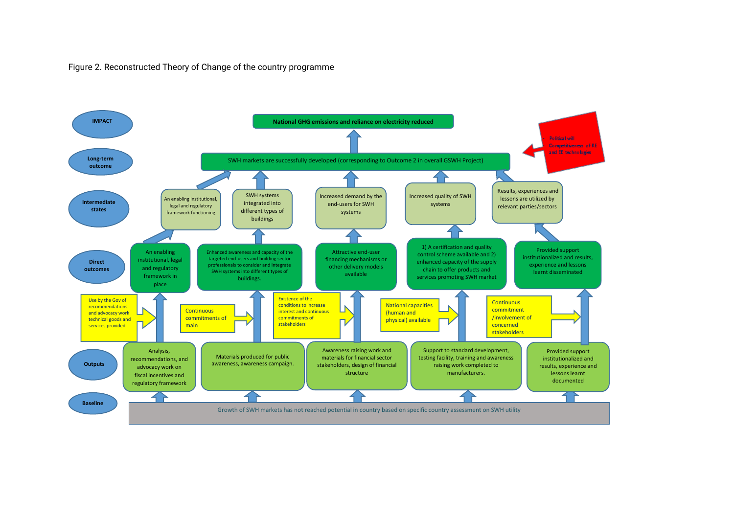#### Figure 2. Reconstructed Theory of Change of the country programme

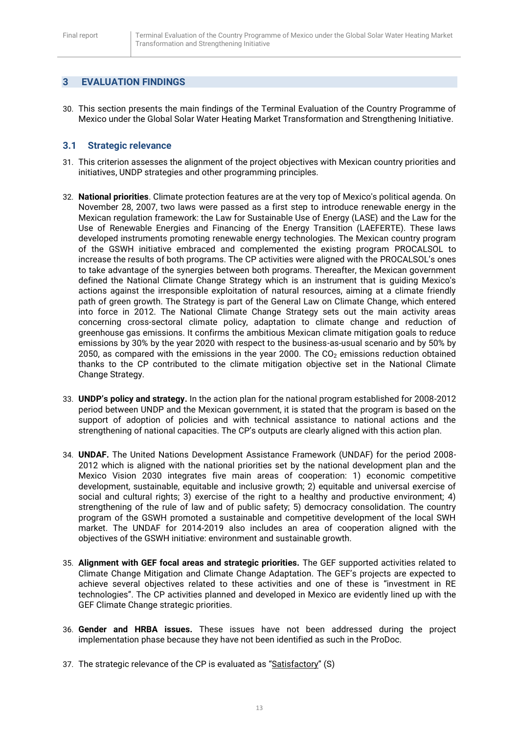## <span id="page-13-0"></span>**3 EVALUATION FINDINGS**

30. This section presents the main findings of the Terminal Evaluation of the Country Programme of Mexico under the Global Solar Water Heating Market Transformation and Strengthening Initiative.

#### <span id="page-13-1"></span>**3.1 Strategic relevance**

- 31. This criterion assesses the alignment of the project objectives with Mexican country priorities and initiatives, UNDP strategies and other programming principles.
- 32. **National priorities**. Climate protection features are at the very top of Mexico's political agenda. On November 28, 2007, two laws were passed as a first step to introduce renewable energy in the Mexican regulation framework: the Law for Sustainable Use of Energy (LASE) and the Law for the Use of Renewable Energies and Financing of the Energy Transition (LAEFERTE). These laws developed instruments promoting renewable energy technologies. The Mexican country program of the GSWH initiative embraced and complemented the existing program PROCALSOL to increase the results of both programs. The CP activities were aligned with the PROCALSOL's ones to take advantage of the synergies between both programs. Thereafter, the Mexican government defined the National Climate Change Strategy which is an instrument that is guiding Mexico's actions against the irresponsible exploitation of natural resources, aiming at a climate friendly path of green growth. The Strategy is part of the General Law on Climate Change, which entered into force in 2012. The National Climate Change Strategy sets out the main activity areas concerning cross-sectoral climate policy, adaptation to climate change and reduction of greenhouse gas emissions. It confirms the ambitious Mexican climate mitigation goals to reduce emissions by 30% by the year 2020 with respect to the business-as-usual scenario and by 50% by 2050, as compared with the emissions in the year 2000. The  $CO<sub>2</sub>$  emissions reduction obtained thanks to the CP contributed to the climate mitigation objective set in the National Climate Change Strategy.
- 33. **UNDP's policy and strategy.** In the action plan for the national program established for 2008-2012 period between UNDP and the Mexican government, it is stated that the program is based on the support of adoption of policies and with technical assistance to national actions and the strengthening of national capacities. The CP's outputs are clearly aligned with this action plan.
- 34. **UNDAF.** The United Nations Development Assistance Framework (UNDAF) for the period 2008- 2012 which is aligned with the national priorities set by the national development plan and the Mexico Vision 2030 integrates five main areas of cooperation: 1) economic competitive development, sustainable, equitable and inclusive growth; 2) equitable and universal exercise of social and cultural rights; 3) exercise of the right to a healthy and productive environment; 4) strengthening of the rule of law and of public safety; 5) democracy consolidation. The country program of the GSWH promoted a sustainable and competitive development of the local SWH market. The UNDAF for 2014-2019 also includes an area of cooperation aligned with the objectives of the GSWH initiative: environment and sustainable growth.
- 35. **Alignment with GEF focal areas and strategic priorities.** The GEF supported activities related to Climate Change Mitigation and Climate Change Adaptation. The GEF's projects are expected to achieve several objectives related to these activities and one of these is "investment in RE technologies". The CP activities planned and developed in Mexico are evidently lined up with the GEF Climate Change strategic priorities.
- 36. **Gender and HRBA issues.** These issues have not been addressed during the project implementation phase because they have not been identified as such in the ProDoc.
- 37. The strategic relevance of the CP is evaluated as "Satisfactory" (S)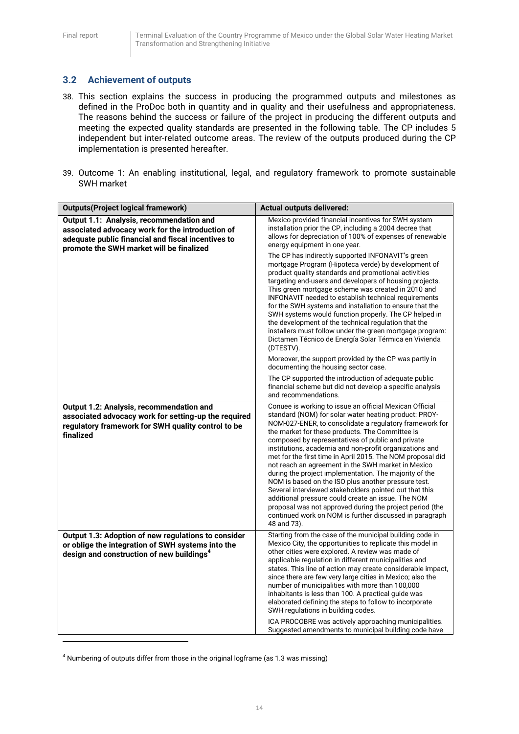# <span id="page-14-0"></span>**3.2 Achievement of outputs**

- 38. This section explains the success in producing the programmed outputs and milestones as defined in the ProDoc both in quantity and in quality and their usefulness and appropriateness. The reasons behind the success or failure of the project in producing the different outputs and meeting the expected quality standards are presented in the following table. The CP includes 5 independent but inter-related outcome areas. The review of the outputs produced during the CP implementation is presented hereafter.
- 39. Outcome 1: An enabling institutional, legal, and regulatory framework to promote sustainable SWH market

| <b>Outputs(Project logical framework)</b>                                                                                                                                                      | <b>Actual outputs delivered:</b>                                                                                                                                                                                                                                                                                                                                                                                                                                                                                                                                                                                                                                                                                                                                                                                                                                       |  |
|------------------------------------------------------------------------------------------------------------------------------------------------------------------------------------------------|------------------------------------------------------------------------------------------------------------------------------------------------------------------------------------------------------------------------------------------------------------------------------------------------------------------------------------------------------------------------------------------------------------------------------------------------------------------------------------------------------------------------------------------------------------------------------------------------------------------------------------------------------------------------------------------------------------------------------------------------------------------------------------------------------------------------------------------------------------------------|--|
| Output 1.1: Analysis, recommendation and<br>associated advocacy work for the introduction of<br>adequate public financial and fiscal incentives to<br>promote the SWH market will be finalized | Mexico provided financial incentives for SWH system<br>installation prior the CP, including a 2004 decree that<br>allows for depreciation of 100% of expenses of renewable<br>energy equipment in one year.<br>The CP has indirectly supported INFONAVIT's green<br>mortgage Program (Hipoteca verde) by development of<br>product quality standards and promotional activities<br>targeting end-users and developers of housing projects.<br>This green mortgage scheme was created in 2010 and<br>INFONAVIT needed to establish technical requirements<br>for the SWH systems and installation to ensure that the<br>SWH systems would function properly. The CP helped in<br>the development of the technical regulation that the<br>installers must follow under the green mortgage program:<br>Dictamen Técnico de Energía Solar Térmica en Vivienda<br>(DTESTV). |  |
|                                                                                                                                                                                                | Moreover, the support provided by the CP was partly in<br>documenting the housing sector case.<br>The CP supported the introduction of adequate public<br>financial scheme but did not develop a specific analysis<br>and recommendations.                                                                                                                                                                                                                                                                                                                                                                                                                                                                                                                                                                                                                             |  |
| Output 1.2: Analysis, recommendation and<br>associated advocacy work for setting-up the required<br>regulatory framework for SWH quality control to be<br>finalized                            | Conuee is working to issue an official Mexican Official<br>standard (NOM) for solar water heating product: PROY-<br>NOM-027-ENER, to consolidate a regulatory framework for<br>the market for these products. The Committee is<br>composed by representatives of public and private<br>institutions, academia and non-profit organizations and<br>met for the first time in April 2015. The NOM proposal did<br>not reach an agreement in the SWH market in Mexico<br>during the project implementation. The majority of the<br>NOM is based on the ISO plus another pressure test.<br>Several interviewed stakeholders pointed out that this<br>additional pressure could create an issue. The NOM<br>proposal was not approved during the project period (the<br>continued work on NOM is further discussed in paragraph<br>48 and 73).                              |  |
| Output 1.3: Adoption of new regulations to consider<br>or oblige the integration of SWH systems into the<br>design and construction of new buildings <sup>4</sup>                              | Starting from the case of the municipal building code in<br>Mexico City, the opportunities to replicate this model in<br>other cities were explored. A review was made of<br>applicable regulation in different municipalities and<br>states. This line of action may create considerable impact,<br>since there are few very large cities in Mexico; also the<br>number of municipalities with more than 100,000<br>inhabitants is less than 100. A practical guide was<br>elaborated defining the steps to follow to incorporate<br>SWH regulations in building codes.<br>ICA PROCOBRE was actively approaching municipalities.<br>Suggested amendments to municipal building code have                                                                                                                                                                              |  |

<sup>4</sup> Numbering of outputs differ from those in the original logframe (as 1.3 was missing)

**.**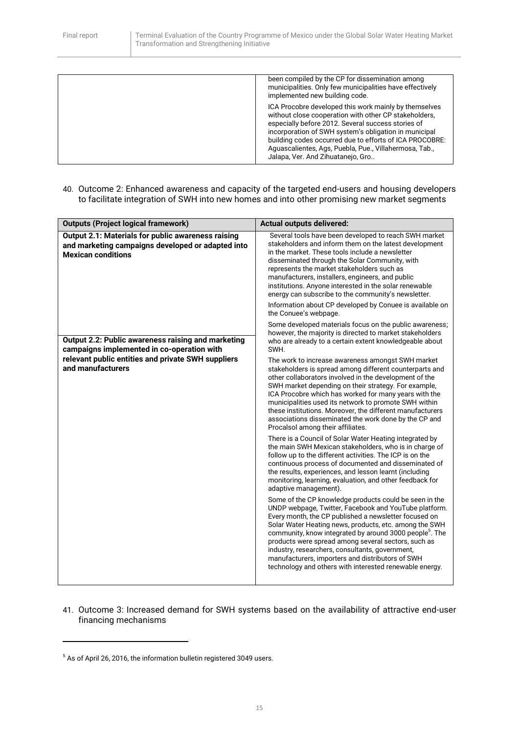| been compiled by the CP for dissemination among<br>municipalities. Only few municipalities have effectively<br>implemented new building code.                                                                                                                                                                                                                                           |
|-----------------------------------------------------------------------------------------------------------------------------------------------------------------------------------------------------------------------------------------------------------------------------------------------------------------------------------------------------------------------------------------|
| ICA Procobre developed this work mainly by themselves<br>without close cooperation with other CP stakeholders,<br>especially before 2012. Several success stories of<br>incorporation of SWH system's obligation in municipal<br>building codes occurred due to efforts of ICA PROCOBRE:<br>Aguascalientes, Ags, Puebla, Pue., Villahermosa, Tab.,<br>Jalapa, Ver. And Zihuatanejo, Gro |

40. Outcome 2: Enhanced awareness and capacity of the targeted end-users and housing developers to facilitate integration of SWH into new homes and into other promising new market segments

| <b>Outputs (Project logical framework)</b>                                                                                           | <b>Actual outputs delivered:</b>                                                                                                                                                                                                                                                                                                                                                                                                                                                                                                   |  |
|--------------------------------------------------------------------------------------------------------------------------------------|------------------------------------------------------------------------------------------------------------------------------------------------------------------------------------------------------------------------------------------------------------------------------------------------------------------------------------------------------------------------------------------------------------------------------------------------------------------------------------------------------------------------------------|--|
| Output 2.1: Materials for public awareness raising<br>and marketing campaigns developed or adapted into<br><b>Mexican conditions</b> | Several tools have been developed to reach SWH market<br>stakeholders and inform them on the latest development<br>in the market. These tools include a newsletter<br>disseminated through the Solar Community, with<br>represents the market stakeholders such as<br>manufacturers, installers, engineers, and public<br>institutions. Anyone interested in the solar renewable<br>energy can subscribe to the community's newsletter.                                                                                            |  |
|                                                                                                                                      | Information about CP developed by Conuee is available on<br>the Conuee's webpage.                                                                                                                                                                                                                                                                                                                                                                                                                                                  |  |
| Output 2.2: Public awareness raising and marketing<br>campaigns implemented in co-operation with                                     | Some developed materials focus on the public awareness;<br>however, the majority is directed to market stakeholders<br>who are already to a certain extent knowledgeable about<br>SWH.                                                                                                                                                                                                                                                                                                                                             |  |
| relevant public entities and private SWH suppliers<br>and manufacturers                                                              | The work to increase awareness amongst SWH market<br>stakeholders is spread among different counterparts and<br>other collaborators involved in the development of the<br>SWH market depending on their strategy. For example,<br>ICA Procobre which has worked for many years with the<br>municipalities used its network to promote SWH within<br>these institutions. Moreover, the different manufacturers<br>associations disseminated the work done by the CP and<br>Procalsol among their affiliates.                        |  |
|                                                                                                                                      | There is a Council of Solar Water Heating integrated by<br>the main SWH Mexican stakeholders, who is in charge of<br>follow up to the different activities. The ICP is on the<br>continuous process of documented and disseminated of<br>the results, experiences, and lesson learnt (including<br>monitoring, learning, evaluation, and other feedback for<br>adaptive management).                                                                                                                                               |  |
|                                                                                                                                      | Some of the CP knowledge products could be seen in the<br>UNDP webpage, Twitter, Facebook and YouTube platform.<br>Every month, the CP published a newsletter focused on<br>Solar Water Heating news, products, etc. among the SWH<br>community, know integrated by around 3000 people <sup>5</sup> . The<br>products were spread among several sectors, such as<br>industry, researchers, consultants, government,<br>manufacturers, importers and distributors of SWH<br>technology and others with interested renewable energy. |  |

41. Outcome 3: Increased demand for SWH systems based on the availability of attractive end-user financing mechanisms

**.** 

<sup>&</sup>lt;sup>5</sup> As of April 26, 2016, the information bulletin registered 3049 users.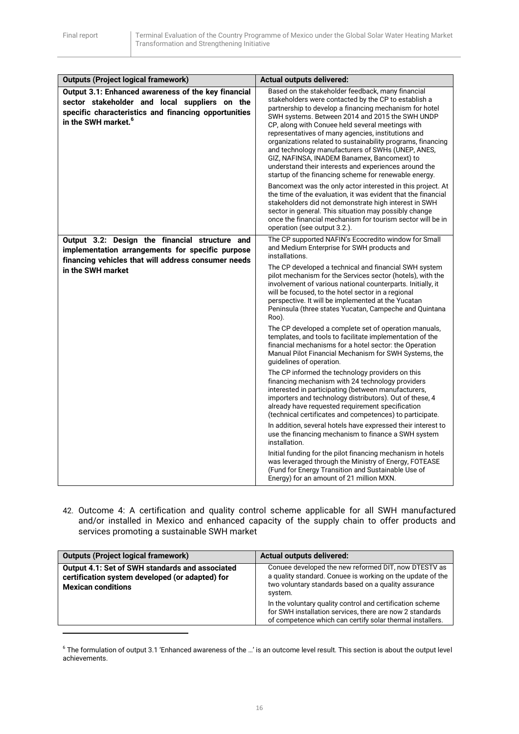| <b>Outputs (Project logical framework)</b>                                                                                                                                                      | <b>Actual outputs delivered:</b>                                                                                                                                                                                                                                                                                                                                                                                                                                                                                                                                                                                      |
|-------------------------------------------------------------------------------------------------------------------------------------------------------------------------------------------------|-----------------------------------------------------------------------------------------------------------------------------------------------------------------------------------------------------------------------------------------------------------------------------------------------------------------------------------------------------------------------------------------------------------------------------------------------------------------------------------------------------------------------------------------------------------------------------------------------------------------------|
| Output 3.1: Enhanced awareness of the key financial<br>sector stakeholder and local suppliers on the<br>specific characteristics and financing opportunities<br>in the SWH market. <sup>6</sup> | Based on the stakeholder feedback, many financial<br>stakeholders were contacted by the CP to establish a<br>partnership to develop a financing mechanism for hotel<br>SWH systems. Between 2014 and 2015 the SWH UNDP<br>CP, along with Conuee held several meetings with<br>representatives of many agencies, institutions and<br>organizations related to sustainability programs, financing<br>and technology manufacturers of SWHs (UNEP, ANES,<br>GIZ, NAFINSA, INADEM Banamex, Bancomext) to<br>understand their interests and experiences around the<br>startup of the financing scheme for renewable energy. |
|                                                                                                                                                                                                 | Bancomext was the only actor interested in this project. At<br>the time of the evaluation, it was evident that the financial<br>stakeholders did not demonstrate high interest in SWH<br>sector in general. This situation may possibly change<br>once the financial mechanism for tourism sector will be in<br>operation (see output 3.2.).                                                                                                                                                                                                                                                                          |
| Output 3.2: Design the financial structure and                                                                                                                                                  | The CP supported NAFIN's Ecocredito window for Small<br>and Medium Enterprise for SWH products and                                                                                                                                                                                                                                                                                                                                                                                                                                                                                                                    |
| implementation arrangements for specific purpose<br>financing vehicles that will address consumer needs                                                                                         | installations.                                                                                                                                                                                                                                                                                                                                                                                                                                                                                                                                                                                                        |
| in the SWH market                                                                                                                                                                               | The CP developed a technical and financial SWH system<br>pilot mechanism for the Services sector (hotels), with the<br>involvement of various national counterparts. Initially, it<br>will be focused, to the hotel sector in a regional<br>perspective. It will be implemented at the Yucatan<br>Peninsula (three states Yucatan, Campeche and Quintana<br>Roo).                                                                                                                                                                                                                                                     |
|                                                                                                                                                                                                 | The CP developed a complete set of operation manuals,<br>templates, and tools to facilitate implementation of the<br>financial mechanisms for a hotel sector: the Operation<br>Manual Pilot Financial Mechanism for SWH Systems, the<br>guidelines of operation.                                                                                                                                                                                                                                                                                                                                                      |
|                                                                                                                                                                                                 | The CP informed the technology providers on this<br>financing mechanism with 24 technology providers<br>interested in participating (between manufacturers,<br>importers and technology distributors). Out of these, 4<br>already have requested requirement specification<br>(technical certificates and competences) to participate.                                                                                                                                                                                                                                                                                |
|                                                                                                                                                                                                 | In addition, several hotels have expressed their interest to<br>use the financing mechanism to finance a SWH system<br>installation.                                                                                                                                                                                                                                                                                                                                                                                                                                                                                  |
|                                                                                                                                                                                                 | Initial funding for the pilot financing mechanism in hotels<br>was leveraged through the Ministry of Energy, FOTEASE<br>(Fund for Energy Transition and Sustainable Use of<br>Energy) for an amount of 21 million MXN.                                                                                                                                                                                                                                                                                                                                                                                                |

42. Outcome 4: A certification and quality control scheme applicable for all SWH manufactured and/or installed in Mexico and enhanced capacity of the supply chain to offer products and services promoting a sustainable SWH market

| <b>Outputs (Project logical framework)</b>                                                                                      | <b>Actual outputs delivered:</b>                                                                                                                                                      |  |
|---------------------------------------------------------------------------------------------------------------------------------|---------------------------------------------------------------------------------------------------------------------------------------------------------------------------------------|--|
| Output 4.1: Set of SWH standards and associated<br>certification system developed (or adapted) for<br><b>Mexican conditions</b> | Conuee developed the new reformed DIT, now DTESTV as<br>a quality standard. Conuee is working on the update of the<br>two voluntary standards based on a quality assurance<br>system. |  |
|                                                                                                                                 | In the voluntary quality control and certification scheme<br>for SWH installation services, there are now 2 standards<br>of competence which can certify solar thermal installers.    |  |
|                                                                                                                                 |                                                                                                                                                                                       |  |

 $^6$  The formulation of output 3.1 'Enhanced awareness of the ...' is an outcome level result. This section is about the output level achievements.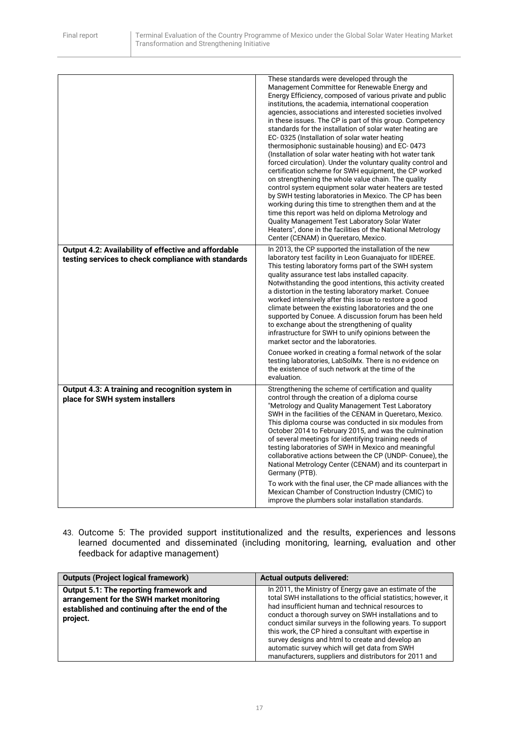|                                                                                                             | These standards were developed through the<br>Management Committee for Renewable Energy and<br>Energy Efficiency, composed of various private and public<br>institutions, the academia, international cooperation<br>agencies, associations and interested societies involved<br>in these issues. The CP is part of this group. Competency<br>standards for the installation of solar water heating are<br>EC-0325 (Installation of solar water heating<br>thermosiphonic sustainable housing) and EC-0473<br>(Installation of solar water heating with hot water tank<br>forced circulation). Under the voluntary quality control and<br>certification scheme for SWH equipment, the CP worked<br>on strengthening the whole value chain. The quality<br>control system equipment solar water heaters are tested<br>by SWH testing laboratories in Mexico. The CP has been<br>working during this time to strengthen them and at the<br>time this report was held on diploma Metrology and<br>Quality Management Test Laboratory Solar Water<br>Heaters", done in the facilities of the National Metrology<br>Center (CENAM) in Queretaro, Mexico. |
|-------------------------------------------------------------------------------------------------------------|-----------------------------------------------------------------------------------------------------------------------------------------------------------------------------------------------------------------------------------------------------------------------------------------------------------------------------------------------------------------------------------------------------------------------------------------------------------------------------------------------------------------------------------------------------------------------------------------------------------------------------------------------------------------------------------------------------------------------------------------------------------------------------------------------------------------------------------------------------------------------------------------------------------------------------------------------------------------------------------------------------------------------------------------------------------------------------------------------------------------------------------------------------|
| Output 4.2: Availability of effective and affordable<br>testing services to check compliance with standards | In 2013, the CP supported the installation of the new<br>laboratory test facility in Leon Guanajuato for IIDEREE.                                                                                                                                                                                                                                                                                                                                                                                                                                                                                                                                                                                                                                                                                                                                                                                                                                                                                                                                                                                                                                   |
|                                                                                                             | This testing laboratory forms part of the SWH system<br>quality assurance test labs installed capacity.<br>Notwithstanding the good intentions, this activity created<br>a distortion in the testing laboratory market. Conuee<br>worked intensively after this issue to restore a good<br>climate between the existing laboratories and the one<br>supported by Conuee. A discussion forum has been held<br>to exchange about the strengthening of quality<br>infrastructure for SWH to unify opinions between the<br>market sector and the laboratories.                                                                                                                                                                                                                                                                                                                                                                                                                                                                                                                                                                                          |
|                                                                                                             | Conuee worked in creating a formal network of the solar<br>testing laboratories, LabSolMx. There is no evidence on<br>the existence of such network at the time of the<br>evaluation.                                                                                                                                                                                                                                                                                                                                                                                                                                                                                                                                                                                                                                                                                                                                                                                                                                                                                                                                                               |
| Output 4.3: A training and recognition system in<br>place for SWH system installers                         | Strengthening the scheme of certification and quality<br>control through the creation of a diploma course<br>"Metrology and Quality Management Test Laboratory<br>SWH in the facilities of the CENAM in Queretaro, Mexico.<br>This diploma course was conducted in six modules from<br>October 2014 to February 2015, and was the culmination<br>of several meetings for identifying training needs of<br>testing laboratories of SWH in Mexico and meaningful<br>collaborative actions between the CP (UNDP- Conuee), the<br>National Metrology Center (CENAM) and its counterpart in<br>Germany (PTB).<br>To work with the final user, the CP made alliances with the<br>Mexican Chamber of Construction Industry (CMIC) to<br>improve the plumbers solar installation standards.                                                                                                                                                                                                                                                                                                                                                                 |

43. Outcome 5: The provided support institutionalized and the results, experiences and lessons learned documented and disseminated (including monitoring, learning, evaluation and other feedback for adaptive management)

| <b>Outputs (Project logical framework)</b>                                                                                                          | <b>Actual outputs delivered:</b>                                                                                                                                                                                                                                                                                                                                                                                                                                                                                                |
|-----------------------------------------------------------------------------------------------------------------------------------------------------|---------------------------------------------------------------------------------------------------------------------------------------------------------------------------------------------------------------------------------------------------------------------------------------------------------------------------------------------------------------------------------------------------------------------------------------------------------------------------------------------------------------------------------|
| Output 5.1: The reporting framework and<br>arrangement for the SWH market monitoring<br>established and continuing after the end of the<br>project. | In 2011, the Ministry of Energy gave an estimate of the<br>total SWH installations to the official statistics; however, it<br>had insufficient human and technical resources to<br>conduct a thorough survey on SWH installations and to<br>conduct similar surveys in the following years. To support<br>this work, the CP hired a consultant with expertise in<br>survey designs and html to create and develop an<br>automatic survey which will get data from SWH<br>manufacturers, suppliers and distributors for 2011 and |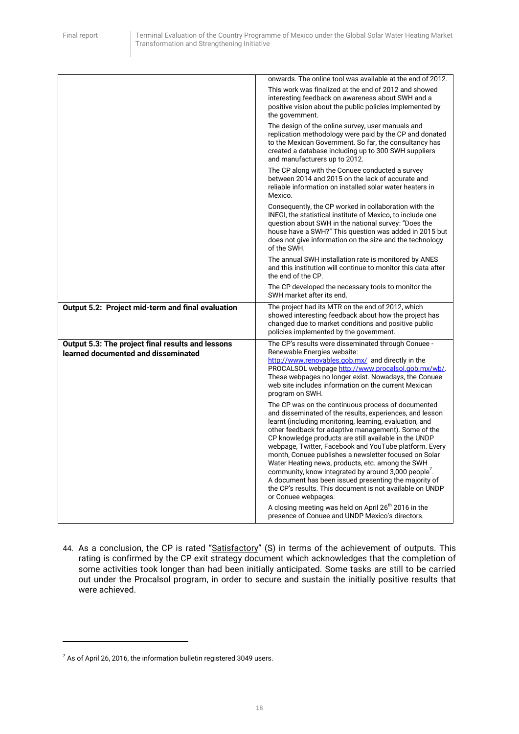|                                                   | onwards. The online tool was available at the end of 2012.                                                                                                                                                                                                                                                                                                                                                                                                                                                                                                                       |
|---------------------------------------------------|----------------------------------------------------------------------------------------------------------------------------------------------------------------------------------------------------------------------------------------------------------------------------------------------------------------------------------------------------------------------------------------------------------------------------------------------------------------------------------------------------------------------------------------------------------------------------------|
|                                                   | This work was finalized at the end of 2012 and showed<br>interesting feedback on awareness about SWH and a<br>positive vision about the public policies implemented by<br>the government.                                                                                                                                                                                                                                                                                                                                                                                        |
|                                                   | The design of the online survey, user manuals and<br>replication methodology were paid by the CP and donated<br>to the Mexican Government. So far, the consultancy has<br>created a database including up to 300 SWH suppliers<br>and manufacturers up to 2012.                                                                                                                                                                                                                                                                                                                  |
|                                                   | The CP along with the Conuee conducted a survey<br>between 2014 and 2015 on the lack of accurate and<br>reliable information on installed solar water heaters in<br>Mexico.                                                                                                                                                                                                                                                                                                                                                                                                      |
|                                                   | Consequently, the CP worked in collaboration with the<br>INEGI, the statistical institute of Mexico, to include one<br>question about SWH in the national survey: "Does the<br>house have a SWH?" This question was added in 2015 but<br>does not give information on the size and the technology<br>of the SWH.                                                                                                                                                                                                                                                                 |
|                                                   | The annual SWH installation rate is monitored by ANES<br>and this institution will continue to monitor this data after<br>the end of the CP.                                                                                                                                                                                                                                                                                                                                                                                                                                     |
|                                                   | The CP developed the necessary tools to monitor the<br>SWH market after its end.                                                                                                                                                                                                                                                                                                                                                                                                                                                                                                 |
| Output 5.2: Project mid-term and final evaluation | The project had its MTR on the end of 2012, which<br>showed interesting feedback about how the project has<br>changed due to market conditions and positive public<br>policies implemented by the government.                                                                                                                                                                                                                                                                                                                                                                    |
| Output 5.3: The project final results and lessons | The CP's results were disseminated through Conuee -                                                                                                                                                                                                                                                                                                                                                                                                                                                                                                                              |
| learned documented and disseminated               | Renewable Energies website:<br>http://www.renovables.gob.mx/ and directly in the                                                                                                                                                                                                                                                                                                                                                                                                                                                                                                 |
|                                                   | PROCALSOL webpage http://www.procalsol.gob.mx/wb/.                                                                                                                                                                                                                                                                                                                                                                                                                                                                                                                               |
|                                                   | These webpages no longer exist. Nowadays, the Conuee<br>web site includes information on the current Mexican<br>program on SWH.                                                                                                                                                                                                                                                                                                                                                                                                                                                  |
|                                                   | The CP was on the continuous process of documented<br>and disseminated of the results, experiences, and lesson<br>learnt (including monitoring, learning, evaluation, and<br>other feedback for adaptive management). Some of the<br>CP knowledge products are still available in the UNDP<br>webpage, Twitter, Facebook and YouTube platform. Every<br>month, Conuee publishes a newsletter focused on Solar<br>Water Heating news, products, etc. among the SWH<br>community, know integrated by around 3,000 people.<br>A document has been issued presenting the majority of |
|                                                   | the CP's results. This document is not available on UNDP<br>or Conuee webpages.<br>A closing meeting was held on April 26 <sup>th</sup> 2016 in the                                                                                                                                                                                                                                                                                                                                                                                                                              |

44. As a conclusion, the CP is rated "Satisfactory" (S) in terms of the achievement of outputs. This rating is confirmed by the CP exit strategy document which acknowledges that the completion of some activities took longer than had been initially anticipated. Some tasks are still to be carried out under the Procalsol program, in order to secure and sustain the initially positive results that were achieved.

**.** 

 $^7$  As of April 26, 2016, the information bulletin registered 3049 users.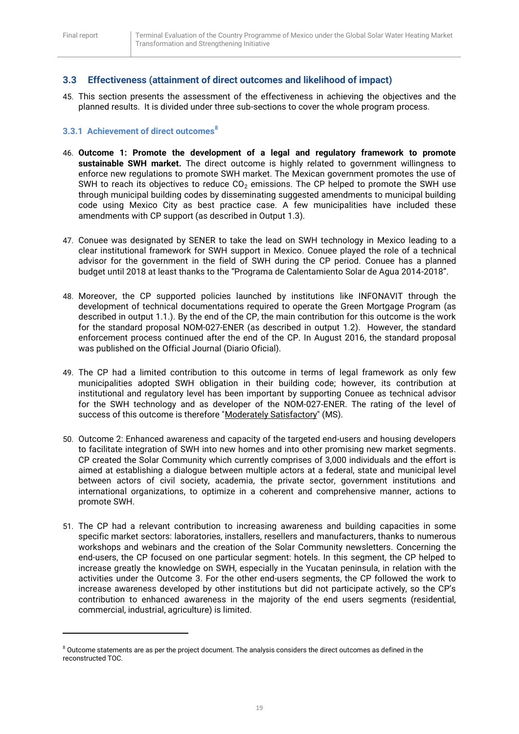1

# <span id="page-19-0"></span>**3.3 Effectiveness (attainment of direct outcomes and likelihood of impact)**

45. This section presents the assessment of the effectiveness in achieving the objectives and the planned results. It is divided under three sub-sections to cover the whole program process.

#### <span id="page-19-1"></span>**3.3.1 Achievement of direct outcomes<sup>8</sup>**

- 46. **Outcome 1: Promote the development of a legal and regulatory framework to promote sustainable SWH market.** The direct outcome is highly related to government willingness to enforce new regulations to promote SWH market. The Mexican government promotes the use of SWH to reach its objectives to reduce  $CO<sub>2</sub>$  emissions. The CP helped to promote the SWH use through municipal building codes by disseminating suggested amendments to municipal building code using Mexico City as best practice case. A few municipalities have included these amendments with CP support (as described in Output 1.3).
- 47. Conuee was designated by SENER to take the lead on SWH technology in Mexico leading to a clear institutional framework for SWH support in Mexico. Conuee played the role of a technical advisor for the government in the field of SWH during the CP period. Conuee has a planned budget until 2018 at least thanks to the "Programa de Calentamiento Solar de Agua 2014-2018".
- 48. Moreover, the CP supported policies launched by institutions like INFONAVIT through the development of technical documentations required to operate the Green Mortgage Program (as described in output 1.1.). By the end of the CP, the main contribution for this outcome is the work for the standard proposal NOM-027-ENER (as described in output 1.2). However, the standard enforcement process continued after the end of the CP. In August 2016, the standard proposal was published on the Official Journal (Diario Oficial).
- 49. The CP had a limited contribution to this outcome in terms of legal framework as only few municipalities adopted SWH obligation in their building code; however, its contribution at institutional and regulatory level has been important by supporting Conuee as technical advisor for the SWH technology and as developer of the NOM-027-ENER. The rating of the level of success of this outcome is therefore "Moderately Satisfactory" (MS).
- 50. Outcome 2: Enhanced awareness and capacity of the targeted end-users and housing developers to facilitate integration of SWH into new homes and into other promising new market segments. CP created the Solar Community which currently comprises of 3,000 individuals and the effort is aimed at establishing a dialogue between multiple actors at a federal, state and municipal level between actors of civil society, academia, the private sector, government institutions and international organizations, to optimize in a coherent and comprehensive manner, actions to promote SWH.
- 51. The CP had a relevant contribution to increasing awareness and building capacities in some specific market sectors: laboratories, installers, resellers and manufacturers, thanks to numerous workshops and webinars and the creation of the Solar Community newsletters. Concerning the end-users, the CP focused on one particular segment: hotels. In this segment, the CP helped to increase greatly the knowledge on SWH, especially in the Yucatan peninsula, in relation with the activities under the Outcome 3. For the other end-users segments, the CP followed the work to increase awareness developed by other institutions but did not participate actively, so the CP's contribution to enhanced awareness in the majority of the end users segments (residential, commercial, industrial, agriculture) is limited.

 $8$  Outcome statements are as per the project document. The analysis considers the direct outcomes as defined in the reconstructed TOC.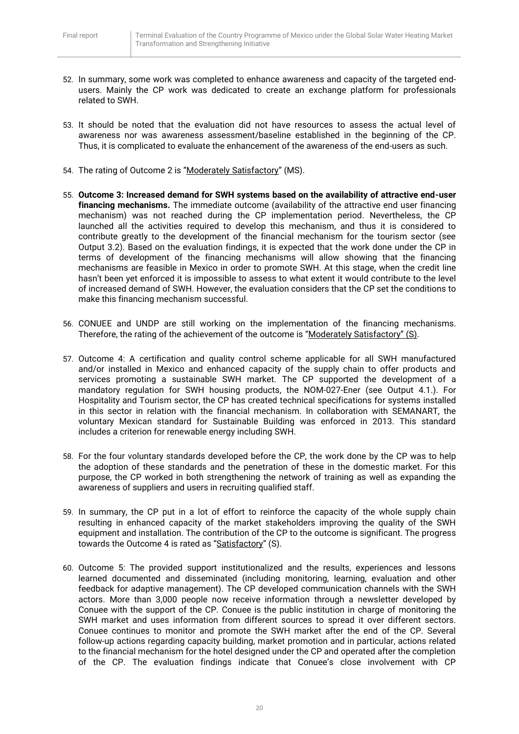- 52. In summary, some work was completed to enhance awareness and capacity of the targeted endusers. Mainly the CP work was dedicated to create an exchange platform for professionals related to SWH.
- 53. It should be noted that the evaluation did not have resources to assess the actual level of awareness nor was awareness assessment/baseline established in the beginning of the CP. Thus, it is complicated to evaluate the enhancement of the awareness of the end-users as such.
- 54. The rating of Outcome 2 is "Moderately Satisfactory" (MS).
- 55. **Outcome 3: Increased demand for SWH systems based on the availability of attractive end-user financing mechanisms.** The immediate outcome (availability of the attractive end user financing mechanism) was not reached during the CP implementation period. Nevertheless, the CP launched all the activities required to develop this mechanism, and thus it is considered to contribute greatly to the development of the financial mechanism for the tourism sector (see Output 3.2). Based on the evaluation findings, it is expected that the work done under the CP in terms of development of the financing mechanisms will allow showing that the financing mechanisms are feasible in Mexico in order to promote SWH. At this stage, when the credit line hasn't been yet enforced it is impossible to assess to what extent it would contribute to the level of increased demand of SWH. However, the evaluation considers that the CP set the conditions to make this financing mechanism successful.
- 56. CONUEE and UNDP are still working on the implementation of the financing mechanisms. Therefore, the rating of the achievement of the outcome is "Moderately Satisfactory" (S).
- 57. Outcome 4: A certification and quality control scheme applicable for all SWH manufactured and/or installed in Mexico and enhanced capacity of the supply chain to offer products and services promoting a sustainable SWH market. The CP supported the development of a mandatory regulation for SWH housing products, the NOM-027-Ener (see Output 4.1.). For Hospitality and Tourism sector, the CP has created technical specifications for systems installed in this sector in relation with the financial mechanism. In collaboration with SEMANART, the voluntary Mexican standard for Sustainable Building was enforced in 2013. This standard includes a criterion for renewable energy including SWH.
- 58. For the four voluntary standards developed before the CP, the work done by the CP was to help the adoption of these standards and the penetration of these in the domestic market. For this purpose, the CP worked in both strengthening the network of training as well as expanding the awareness of suppliers and users in recruiting qualified staff.
- 59. In summary, the CP put in a lot of effort to reinforce the capacity of the whole supply chain resulting in enhanced capacity of the market stakeholders improving the quality of the SWH equipment and installation. The contribution of the CP to the outcome is significant. The progress towards the Outcome 4 is rated as "Satisfactory" (S).
- 60. Outcome 5: The provided support institutionalized and the results, experiences and lessons learned documented and disseminated (including monitoring, learning, evaluation and other feedback for adaptive management). The CP developed communication channels with the SWH actors. More than 3,000 people now receive information through a newsletter developed by Conuee with the support of the CP. Conuee is the public institution in charge of monitoring the SWH market and uses information from different sources to spread it over different sectors. Conuee continues to monitor and promote the SWH market after the end of the CP. Several follow-up actions regarding capacity building, market promotion and in particular, actions related to the financial mechanism for the hotel designed under the CP and operated after the completion of the CP. The evaluation findings indicate that Conuee's close involvement with CP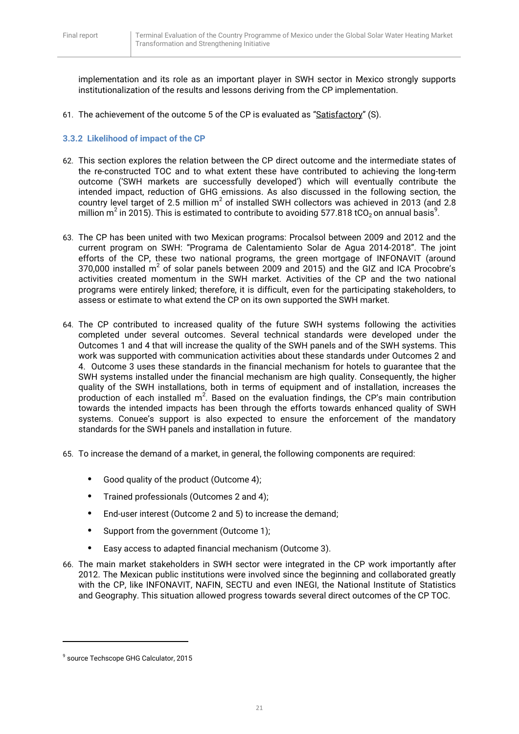implementation and its role as an important player in SWH sector in Mexico strongly supports institutionalization of the results and lessons deriving from the CP implementation.

61. The achievement of the outcome 5 of the CP is evaluated as "Satisfactory" (S).

#### <span id="page-21-0"></span>**3.3.2 Likelihood of impact of the CP**

- 62. This section explores the relation between the CP direct outcome and the intermediate states of the re-constructed TOC and to what extent these have contributed to achieving the long-term outcome ('SWH markets are successfully developed') which will eventually contribute the intended impact, reduction of GHG emissions. As also discussed in the following section, the country level target of 2.5 million  $m^2$  of installed SWH collectors was achieved in 2013 (and 2.8 million m $^2$  in 2015). This is estimated to contribute to avoiding 577.818 tCO<sub>2</sub> on annual basis $^9$ .
- 63. The CP has been united with two Mexican programs: Procalsol between 2009 and 2012 and the current program on SWH: "Programa de Calentamiento Solar de Agua 2014-2018". The joint efforts of the CP, these two national programs, the green mortgage of INFONAVIT (around 370,000 installed  $m^2$  of solar panels between 2009 and 2015) and the GIZ and ICA Procobre's activities created momentum in the SWH market. Activities of the CP and the two national programs were entirely linked; therefore, it is difficult, even for the participating stakeholders, to assess or estimate to what extend the CP on its own supported the SWH market.
- 64. The CP contributed to increased quality of the future SWH systems following the activities completed under several outcomes. Several technical standards were developed under the Outcomes 1 and 4 that will increase the quality of the SWH panels and of the SWH systems. This work was supported with communication activities about these standards under Outcomes 2 and 4. Outcome 3 uses these standards in the financial mechanism for hotels to guarantee that the SWH systems installed under the financial mechanism are high quality. Consequently, the higher quality of the SWH installations, both in terms of equipment and of installation, increases the production of each installed  $m^2$ . Based on the evaluation findings, the CP's main contribution towards the intended impacts has been through the efforts towards enhanced quality of SWH systems. Conuee's support is also expected to ensure the enforcement of the mandatory standards for the SWH panels and installation in future.
- 65. To increase the demand of a market, in general, the following components are required:
	- **•** Good quality of the product (Outcome 4);
	- **•** Trained professionals (Outcomes 2 and 4);
	- **•** End-user interest (Outcome 2 and 5) to increase the demand;
	- **•** Support from the government (Outcome 1);
	- **•** Easy access to adapted financial mechanism (Outcome 3).
- 66. The main market stakeholders in SWH sector were integrated in the CP work importantly after 2012. The Mexican public institutions were involved since the beginning and collaborated greatly with the CP, like INFONAVIT, NAFIN, SECTU and even INEGI, the National Institute of Statistics and Geography. This situation allowed progress towards several direct outcomes of the CP TOC.

**.** 

<sup>9</sup> source Techscope GHG Calculator, 2015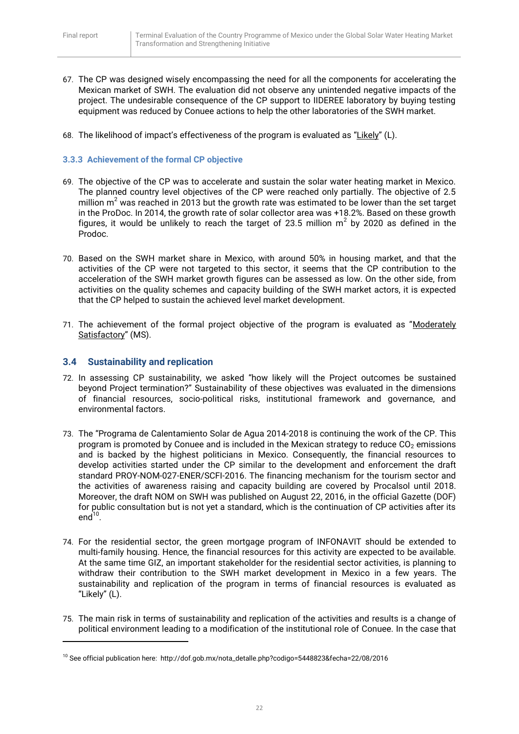- 67. The CP was designed wisely encompassing the need for all the components for accelerating the Mexican market of SWH. The evaluation did not observe any unintended negative impacts of the project. The undesirable consequence of the CP support to IIDEREE laboratory by buying testing equipment was reduced by Conuee actions to help the other laboratories of the SWH market.
- 68. The likelihood of impact's effectiveness of the program is evaluated as "Likely" (L).

#### <span id="page-22-0"></span>**3.3.3 Achievement of the formal CP objective**

- 69. The objective of the CP was to accelerate and sustain the solar water heating market in Mexico. The planned country level objectives of the CP were reached only partially. The objective of 2.5 million  $m<sup>2</sup>$  was reached in 2013 but the growth rate was estimated to be lower than the set target in the ProDoc. In 2014, the growth rate of solar collector area was +18.2%. Based on these growth figures, it would be unlikely to reach the target of 23.5 million  $m^2$  by 2020 as defined in the Prodoc.
- 70. Based on the SWH market share in Mexico, with around 50% in housing market, and that the activities of the CP were not targeted to this sector, it seems that the CP contribution to the acceleration of the SWH market growth figures can be assessed as low. On the other side, from activities on the quality schemes and capacity building of the SWH market actors, it is expected that the CP helped to sustain the achieved level market development.
- 71. The achievement of the formal project objective of the program is evaluated as "Moderately Satisfactory" (MS).

#### <span id="page-22-1"></span>**3.4 Sustainability and replication**

**.** 

- 72. In assessing CP sustainability, we asked "how likely will the Project outcomes be sustained beyond Project termination?" Sustainability of these objectives was evaluated in the dimensions of financial resources, socio-political risks, institutional framework and governance, and environmental factors.
- 73. The "Programa de Calentamiento Solar de Agua 2014-2018 is continuing the work of the CP. This program is promoted by Conuee and is included in the Mexican strategy to reduce  $CO<sub>2</sub>$  emissions and is backed by the highest politicians in Mexico. Consequently, the financial resources to develop activities started under the CP similar to the development and enforcement the draft standard PROY-NOM-027-ENER/SCFI-2016. The financing mechanism for the tourism sector and the activities of awareness raising and capacity building are covered by Procalsol until 2018. Moreover, the draft NOM on SWH was published on August 22, 2016, in the official Gazette (DOF) for public consultation but is not yet a standard, which is the continuation of CP activities after its  $end<sup>10</sup>$ .
- 74. For the residential sector, the green mortgage program of INFONAVIT should be extended to multi-family housing. Hence, the financial resources for this activity are expected to be available. At the same time GIZ, an important stakeholder for the residential sector activities, is planning to withdraw their contribution to the SWH market development in Mexico in a few years. The sustainability and replication of the program in terms of financial resources is evaluated as "Likely" (L).
- 75. The main risk in terms of sustainability and replication of the activities and results is a change of political environment leading to a modification of the institutional role of Conuee. In the case that

<sup>10</sup> See official publication here: http://dof.gob.mx/nota\_detalle.php?codigo=5448823&fecha=22/08/2016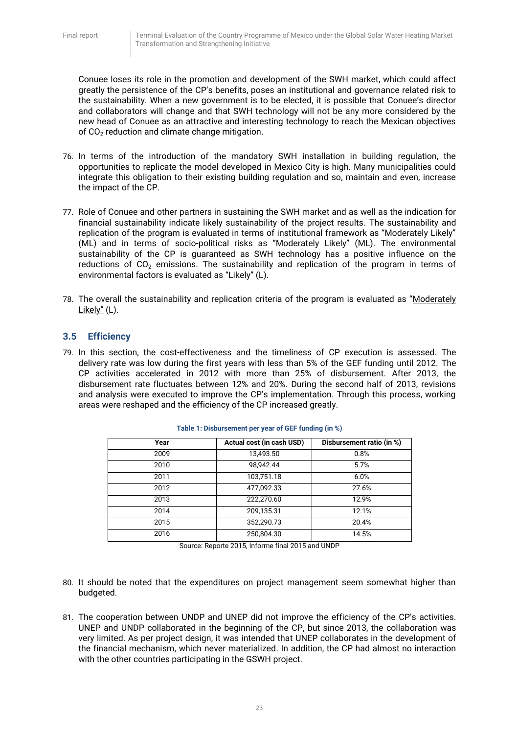Conuee loses its role in the promotion and development of the SWH market, which could affect greatly the persistence of the CP's benefits, poses an institutional and governance related risk to the sustainability. When a new government is to be elected, it is possible that Conuee's director and collaborators will change and that SWH technology will not be any more considered by the new head of Conuee as an attractive and interesting technology to reach the Mexican objectives of  $CO<sub>2</sub>$  reduction and climate change mitigation.

- 76. In terms of the introduction of the mandatory SWH installation in building regulation, the opportunities to replicate the model developed in Mexico City is high. Many municipalities could integrate this obligation to their existing building regulation and so, maintain and even, increase the impact of the CP.
- 77. Role of Conuee and other partners in sustaining the SWH market and as well as the indication for financial sustainability indicate likely sustainability of the project results. The sustainability and replication of the program is evaluated in terms of institutional framework as "Moderately Likely" (ML) and in terms of socio-political risks as "Moderately Likely" (ML). The environmental sustainability of the CP is quaranteed as SWH technology has a positive influence on the reductions of  $CO<sub>2</sub>$  emissions. The sustainability and replication of the program in terms of environmental factors is evaluated as "Likely" (L).
- 78. The overall the sustainability and replication criteria of the program is evaluated as "Moderately Likely" (L).

# <span id="page-23-0"></span>**3.5 Efficiency**

79. In this section, the cost-effectiveness and the timeliness of CP execution is assessed. The delivery rate was low during the first years with less than 5% of the GEF funding until 2012. The CP activities accelerated in 2012 with more than 25% of disbursement. After 2013, the disbursement rate fluctuates between 12% and 20%. During the second half of 2013, revisions and analysis were executed to improve the CP's implementation. Through this process, working areas were reshaped and the efficiency of the CP increased greatly.

| Year | Actual cost (in cash USD) | Disbursement ratio (in %) |
|------|---------------------------|---------------------------|
| 2009 | 13,493.50                 | 0.8%                      |
| 2010 | 98,942.44                 | 5.7%                      |
| 2011 | 103,751.18                | 6.0%                      |
| 2012 | 477,092.33                | 27.6%                     |
| 2013 | 222,270.60                | 12.9%                     |
| 2014 | 209,135.31                | 12.1%                     |
| 2015 | 352,290.73                | 20.4%                     |
| 2016 | 250,804.30                | 14.5%                     |

| Table 1: Disbursement per year of GEF funding (in %) |  |  |  |  |
|------------------------------------------------------|--|--|--|--|
|                                                      |  |  |  |  |

Source: Reporte 2015, Informe final 2015 and UNDP

- 80. It should be noted that the expenditures on project management seem somewhat higher than budgeted.
- 81. The cooperation between UNDP and UNEP did not improve the efficiency of the CP's activities. UNEP and UNDP collaborated in the beginning of the CP, but since 2013, the collaboration was very limited. As per project design, it was intended that UNEP collaborates in the development of the financial mechanism, which never materialized. In addition, the CP had almost no interaction with the other countries participating in the GSWH project.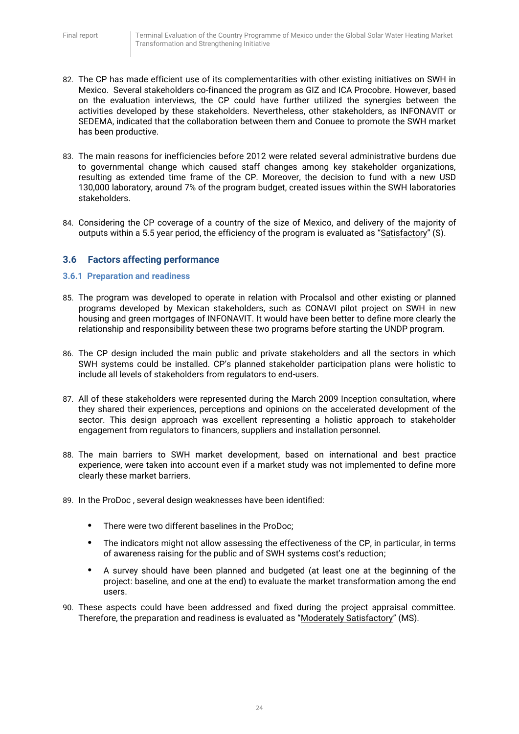- 82. The CP has made efficient use of its complementarities with other existing initiatives on SWH in Mexico. Several stakeholders co-financed the program as GIZ and ICA Procobre. However, based on the evaluation interviews, the CP could have further utilized the synergies between the activities developed by these stakeholders. Nevertheless, other stakeholders, as INFONAVIT or SEDEMA, indicated that the collaboration between them and Conuee to promote the SWH market has been productive.
- 83. The main reasons for inefficiencies before 2012 were related several administrative burdens due to governmental change which caused staff changes among key stakeholder organizations, resulting as extended time frame of the CP. Moreover, the decision to fund with a new USD 130,000 laboratory, around 7% of the program budget, created issues within the SWH laboratories stakeholders.
- 84. Considering the CP coverage of a country of the size of Mexico, and delivery of the majority of outputs within a 5.5 year period, the efficiency of the program is evaluated as "Satisfactory" (S).

## <span id="page-24-0"></span>**3.6 Factors affecting performance**

#### <span id="page-24-1"></span>**3.6.1 Preparation and readiness**

- 85. The program was developed to operate in relation with Procalsol and other existing or planned programs developed by Mexican stakeholders, such as CONAVI pilot project on SWH in new housing and green mortgages of INFONAVIT. It would have been better to define more clearly the relationship and responsibility between these two programs before starting the UNDP program.
- 86. The CP design included the main public and private stakeholders and all the sectors in which SWH systems could be installed. CP's planned stakeholder participation plans were holistic to include all levels of stakeholders from regulators to end-users.
- 87. All of these stakeholders were represented during the March 2009 Inception consultation, where they shared their experiences, perceptions and opinions on the accelerated development of the sector. This design approach was excellent representing a holistic approach to stakeholder engagement from regulators to financers, suppliers and installation personnel.
- 88. The main barriers to SWH market development, based on international and best practice experience, were taken into account even if a market study was not implemented to define more clearly these market barriers.
- 89. In the ProDoc , several design weaknesses have been identified:
	- **•** There were two different baselines in the ProDoc;
	- **•** The indicators might not allow assessing the effectiveness of the CP, in particular, in terms of awareness raising for the public and of SWH systems cost's reduction;
	- **•** A survey should have been planned and budgeted (at least one at the beginning of the project: baseline, and one at the end) to evaluate the market transformation among the end users.
- 90. These aspects could have been addressed and fixed during the project appraisal committee. Therefore, the preparation and readiness is evaluated as "Moderately Satisfactory" (MS).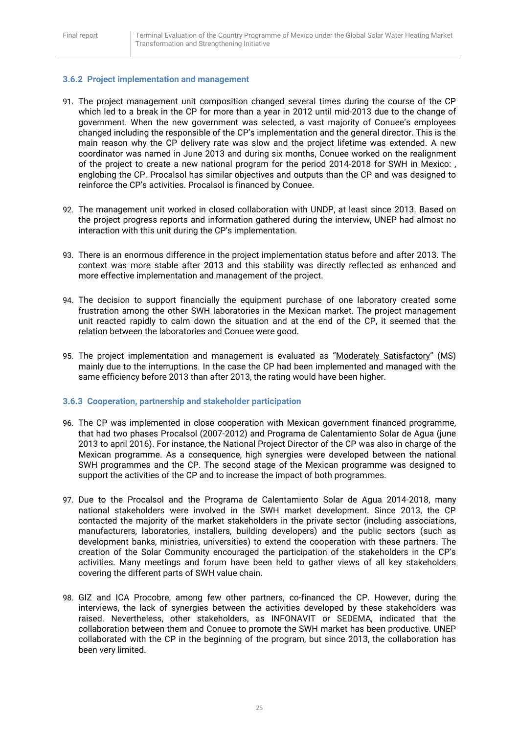#### <span id="page-25-0"></span>**3.6.2 Project implementation and management**

- 91. The project management unit composition changed several times during the course of the CP which led to a break in the CP for more than a year in 2012 until mid-2013 due to the change of government. When the new government was selected, a vast majority of Conuee's employees changed including the responsible of the CP's implementation and the general director. This is the main reason why the CP delivery rate was slow and the project lifetime was extended. A new coordinator was named in June 2013 and during six months, Conuee worked on the realignment of the project to create a new national program for the period 2014-2018 for SWH in Mexico: , englobing the CP. Procalsol has similar objectives and outputs than the CP and was designed to reinforce the CP's activities. Procalsol is financed by Conuee.
- 92. The management unit worked in closed collaboration with UNDP, at least since 2013. Based on the project progress reports and information gathered during the interview, UNEP had almost no interaction with this unit during the CP's implementation.
- 93. There is an enormous difference in the project implementation status before and after 2013. The context was more stable after 2013 and this stability was directly reflected as enhanced and more effective implementation and management of the project.
- 94. The decision to support financially the equipment purchase of one laboratory created some frustration among the other SWH laboratories in the Mexican market. The project management unit reacted rapidly to calm down the situation and at the end of the CP, it seemed that the relation between the laboratories and Conuee were good.
- 95. The project implementation and management is evaluated as "Moderately Satisfactory" (MS) mainly due to the interruptions. In the case the CP had been implemented and managed with the same efficiency before 2013 than after 2013, the rating would have been higher.

#### <span id="page-25-1"></span>**3.6.3 Cooperation, partnership and stakeholder participation**

- 96. The CP was implemented in close cooperation with Mexican government financed programme, that had two phases Procalsol (2007-2012) and Programa de Calentamiento Solar de Agua (june 2013 to april 2016). For instance, the National Project Director of the CP was also in charge of the Mexican programme. As a consequence, high synergies were developed between the national SWH programmes and the CP. The second stage of the Mexican programme was designed to support the activities of the CP and to increase the impact of both programmes.
- 97. Due to the Procalsol and the Programa de Calentamiento Solar de Agua 2014-2018, many national stakeholders were involved in the SWH market development. Since 2013, the CP contacted the majority of the market stakeholders in the private sector (including associations, manufacturers, laboratories, installers, building developers) and the public sectors (such as development banks, ministries, universities) to extend the cooperation with these partners. The creation of the Solar Community encouraged the participation of the stakeholders in the CP's activities. Many meetings and forum have been held to gather views of all key stakeholders covering the different parts of SWH value chain.
- 98. GIZ and ICA Procobre, among few other partners, co-financed the CP. However, during the interviews, the lack of synergies between the activities developed by these stakeholders was raised. Nevertheless, other stakeholders, as INFONAVIT or SEDEMA, indicated that the collaboration between them and Conuee to promote the SWH market has been productive. UNEP collaborated with the CP in the beginning of the program, but since 2013, the collaboration has been very limited.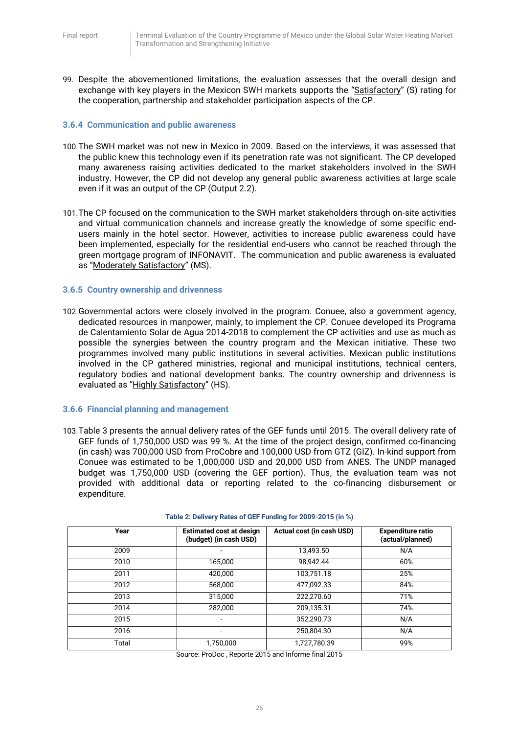99. Despite the abovementioned limitations, the evaluation assesses that the overall design and exchange with key players in the Mexicon SWH markets supports the "Satisfactory" (S) rating for the cooperation, partnership and stakeholder participation aspects of the CP.

#### <span id="page-26-0"></span>**3.6.4 Communication and public awareness**

- 100.The SWH market was not new in Mexico in 2009. Based on the interviews, it was assessed that the public knew this technology even if its penetration rate was not significant. The CP developed many awareness raising activities dedicated to the market stakeholders involved in the SWH industry. However, the CP did not develop any general public awareness activities at large scale even if it was an output of the CP (Output 2.2).
- 101.The CP focused on the communication to the SWH market stakeholders through on-site activities and virtual communication channels and increase greatly the knowledge of some specific endusers mainly in the hotel sector. However, activities to increase public awareness could have been implemented, especially for the residential end-users who cannot be reached through the green mortgage program of INFONAVIT. The communication and public awareness is evaluated as "Moderately Satisfactory" (MS).

#### <span id="page-26-1"></span>**3.6.5 Country ownership and drivenness**

102.Governmental actors were closely involved in the program. Conuee, also a government agency, dedicated resources in manpower, mainly, to implement the CP. Conuee developed its Programa de Calentamiento Solar de Agua 2014-2018 to complement the CP activities and use as much as possible the synergies between the country program and the Mexican initiative. These two programmes involved many public institutions in several activities. Mexican public institutions involved in the CP gathered ministries, regional and municipal institutions, technical centers, regulatory bodies and national development banks. The country ownership and drivenness is evaluated as "Highly Satisfactory" (HS).

#### <span id="page-26-2"></span>**3.6.6 Financial planning and management**

103.Table 3 presents the annual delivery rates of the GEF funds until 2015. The overall delivery rate of GEF funds of 1,750,000 USD was 99 %. At the time of the project design, confirmed co-financing (in cash) was 700,000 USD from ProCobre and 100,000 USD from GTZ (GIZ). In-kind support from Conuee was estimated to be 1,000,000 USD and 20,000 USD from ANES. The UNDP managed budget was 1,750,000 USD (covering the GEF portion). Thus, the evaluation team was not provided with additional data or reporting related to the co-financing disbursement or expenditure.

| Year  | <b>Estimated cost at design</b><br>(budget) (in cash USD) | Actual cost (in cash USD) | <b>Expenditure ratio</b><br>(actual/planned) |
|-------|-----------------------------------------------------------|---------------------------|----------------------------------------------|
| 2009  |                                                           | 13,493.50                 | N/A                                          |
| 2010  | 165,000                                                   | 98,942.44                 | 60%                                          |
| 2011  | 420.000                                                   | 103.751.18                | 25%                                          |
| 2012  | 568,000                                                   | 477,092.33                | 84%                                          |
| 2013  | 315,000                                                   | 222.270.60                | 71%                                          |
| 2014  | 282.000                                                   | 209.135.31                | 74%                                          |
| 2015  |                                                           | 352,290.73                | N/A                                          |
| 2016  |                                                           | 250,804.30                | N/A                                          |
| Total | 1,750,000                                                 | 1,727,780.39              | 99%                                          |

**Table 2: Delivery Rates of GEF Funding for 2009-2015 (in %)**

Source: ProDoc , Reporte 2015 and Informe final 2015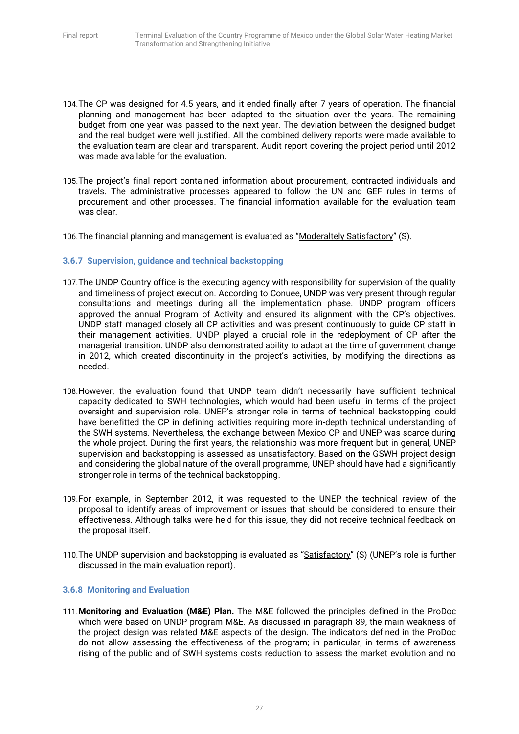- 104.The CP was designed for 4.5 years, and it ended finally after 7 years of operation. The financial planning and management has been adapted to the situation over the years. The remaining budget from one year was passed to the next year. The deviation between the designed budget and the real budget were well justified. All the combined delivery reports were made available to the evaluation team are clear and transparent. Audit report covering the project period until 2012 was made available for the evaluation.
- 105.The project's final report contained information about procurement, contracted individuals and travels. The administrative processes appeared to follow the UN and GEF rules in terms of procurement and other processes. The financial information available for the evaluation team was clear.
- 106.The financial planning and management is evaluated as "Moderaltely Satisfactory" (S).

#### <span id="page-27-0"></span>**3.6.7 Supervision, guidance and technical backstopping**

- 107.The UNDP Country office is the executing agency with responsibility for supervision of the quality and timeliness of project execution. According to Conuee, UNDP was very present through regular consultations and meetings during all the implementation phase. UNDP program officers approved the annual Program of Activity and ensured its alignment with the CP's objectives. UNDP staff managed closely all CP activities and was present continuously to guide CP staff in their management activities. UNDP played a crucial role in the redeployment of CP after the managerial transition. UNDP also demonstrated ability to adapt at the time of government change in 2012, which created discontinuity in the project's activities, by modifying the directions as needed.
- 108.However, the evaluation found that UNDP team didn't necessarily have sufficient technical capacity dedicated to SWH technologies, which would had been useful in terms of the project oversight and supervision role. UNEP's stronger role in terms of technical backstopping could have benefitted the CP in defining activities requiring more in-depth technical understanding of the SWH systems. Nevertheless, the exchange between Mexico CP and UNEP was scarce during the whole project. During the first years, the relationship was more frequent but in general, UNEP supervision and backstopping is assessed as unsatisfactory. Based on the GSWH project design and considering the global nature of the overall programme, UNEP should have had a significantly stronger role in terms of the technical backstopping.
- 109.For example, in September 2012, it was requested to the UNEP the technical review of the proposal to identify areas of improvement or issues that should be considered to ensure their effectiveness. Although talks were held for this issue, they did not receive technical feedback on the proposal itself.
- 110. The UNDP supervision and backstopping is evaluated as "Satisfactory" (S) (UNEP's role is further discussed in the main evaluation report).

#### <span id="page-27-1"></span>**3.6.8 Monitoring and Evaluation**

111.**Monitoring and Evaluation (M&E) Plan.** The M&E followed the principles defined in the ProDoc which were based on UNDP program M&E. As discussed in paragraph 89, the main weakness of the project design was related M&E aspects of the design. The indicators defined in the ProDoc do not allow assessing the effectiveness of the program; in particular, in terms of awareness rising of the public and of SWH systems costs reduction to assess the market evolution and no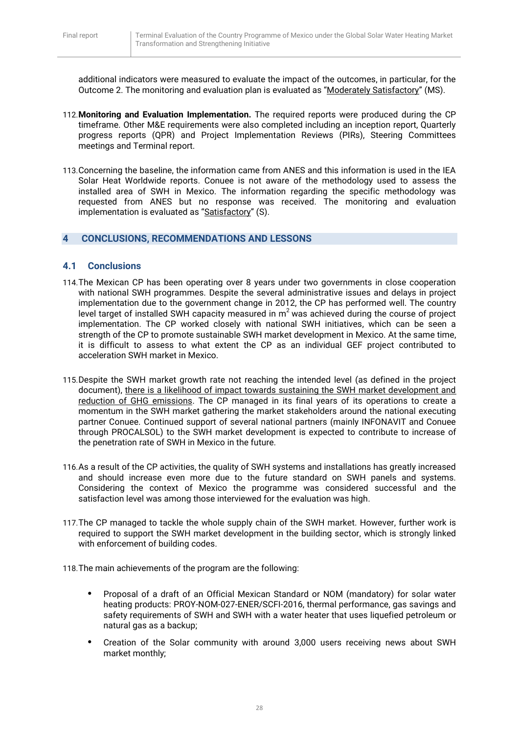additional indicators were measured to evaluate the impact of the outcomes, in particular, for the Outcome 2. The monitoring and evaluation plan is evaluated as "Moderately Satisfactory" (MS).

- 112.**Monitoring and Evaluation Implementation.** The required reports were produced during the CP timeframe. Other M&E requirements were also completed including an inception report, Quarterly progress reports (QPR) and Project Implementation Reviews (PIRs), Steering Committees meetings and Terminal report.
- 113.Concerning the baseline, the information came from ANES and this information is used in the IEA Solar Heat Worldwide reports. Conuee is not aware of the methodology used to assess the installed area of SWH in Mexico. The information regarding the specific methodology was requested from ANES but no response was received. The monitoring and evaluation implementation is evaluated as "Satisfactory" (S).

## <span id="page-28-0"></span>**4 CONCLUSIONS, RECOMMENDATIONS AND LESSONS**

#### <span id="page-28-1"></span>**4.1 Conclusions**

- 114.The Mexican CP has been operating over 8 years under two governments in close cooperation with national SWH programmes. Despite the several administrative issues and delays in project implementation due to the government change in 2012, the CP has performed well. The country level target of installed SWH capacity measured in  $m^2$  was achieved during the course of project implementation. The CP worked closely with national SWH initiatives, which can be seen a strength of the CP to promote sustainable SWH market development in Mexico. At the same time, it is difficult to assess to what extent the CP as an individual GEF project contributed to acceleration SWH market in Mexico.
- 115.Despite the SWH market growth rate not reaching the intended level (as defined in the project document), there is a likelihood of impact towards sustaining the SWH market development and reduction of GHG emissions. The CP managed in its final years of its operations to create a momentum in the SWH market gathering the market stakeholders around the national executing partner Conuee. Continued support of several national partners (mainly INFONAVIT and Conuee through PROCALSOL) to the SWH market development is expected to contribute to increase of the penetration rate of SWH in Mexico in the future.
- 116.As a result of the CP activities, the quality of SWH systems and installations has greatly increased and should increase even more due to the future standard on SWH panels and systems. Considering the context of Mexico the programme was considered successful and the satisfaction level was among those interviewed for the evaluation was high.
- 117.The CP managed to tackle the whole supply chain of the SWH market. However, further work is required to support the SWH market development in the building sector, which is strongly linked with enforcement of building codes.
- 118.The main achievements of the program are the following:
	- **•** Proposal of a draft of an Official Mexican Standard or NOM (mandatory) for solar water heating products: PROY-NOM-027-ENER/SCFI-2016, thermal performance, gas savings and safety requirements of SWH and SWH with a water heater that uses liquefied petroleum or natural gas as a backup;
	- **•** Creation of the Solar community with around 3,000 users receiving news about SWH market monthly;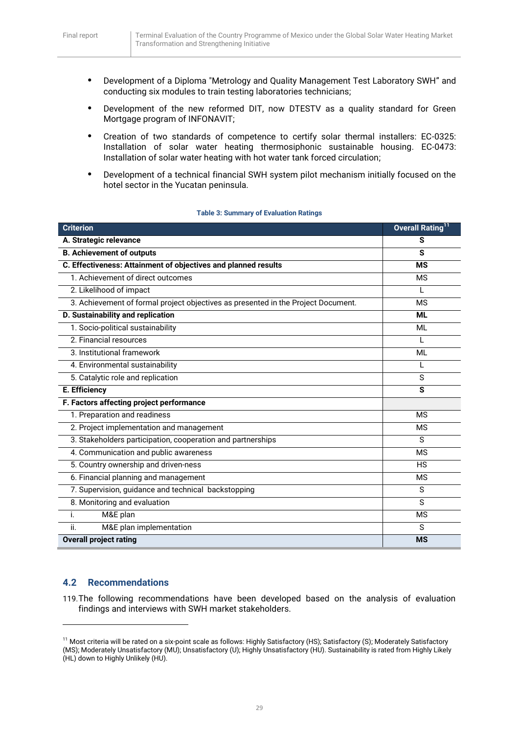- **•** Development of a Diploma "Metrology and Quality Management Test Laboratory SWH" and conducting six modules to train testing laboratories technicians;
- **•** Development of the new reformed DIT, now DTESTV as a quality standard for Green Mortgage program of INFONAVIT;
- **•** Creation of two standards of competence to certify solar thermal installers: EC-0325: Installation of solar water heating thermosiphonic sustainable housing. EC-0473: Installation of solar water heating with hot water tank forced circulation;
- **•** Development of a technical financial SWH system pilot mechanism initially focused on the hotel sector in the Yucatan peninsula.

| <b>Table 3: Summary of Evaluation Ratings</b> |  |  |  |
|-----------------------------------------------|--|--|--|
|-----------------------------------------------|--|--|--|

| <b>Criterion</b>                                                                  | Overall Rating <sup>11</sup> |
|-----------------------------------------------------------------------------------|------------------------------|
| A. Strategic relevance                                                            | S                            |
| <b>B. Achievement of outputs</b>                                                  | S                            |
| C. Effectiveness: Attainment of objectives and planned results                    | <b>MS</b>                    |
| 1. Achievement of direct outcomes                                                 | <b>MS</b>                    |
| 2. Likelihood of impact                                                           | L                            |
| 3. Achievement of formal project objectives as presented in the Project Document. | <b>MS</b>                    |
| D. Sustainability and replication                                                 | <b>ML</b>                    |
| 1. Socio-political sustainability                                                 | ML                           |
| 2. Financial resources                                                            |                              |
| 3. Institutional framework                                                        | ML                           |
| 4. Environmental sustainability                                                   | L                            |
| 5. Catalytic role and replication                                                 | S                            |
| E. Efficiency                                                                     | S                            |
| F. Factors affecting project performance                                          |                              |
| 1. Preparation and readiness                                                      | <b>MS</b>                    |
| 2. Project implementation and management                                          | <b>MS</b>                    |
| 3. Stakeholders participation, cooperation and partnerships                       | S                            |
| 4. Communication and public awareness                                             | <b>MS</b>                    |
| 5. Country ownership and driven-ness                                              | <b>HS</b>                    |
| 6. Financial planning and management                                              | <b>MS</b>                    |
| 7. Supervision, guidance and technical backstopping                               | S                            |
| 8. Monitoring and evaluation                                                      | S                            |
| M&E plan<br>i.                                                                    | <b>MS</b>                    |
| ii.<br>M&E plan implementation                                                    | S                            |
| <b>Overall project rating</b>                                                     | <b>MS</b>                    |

#### <span id="page-29-0"></span>**4.2 Recommendations**

**.** 

119.The following recommendations have been developed based on the analysis of evaluation findings and interviews with SWH market stakeholders.

<sup>&</sup>lt;sup>11</sup> Most criteria will be rated on a six-point scale as follows: Highly Satisfactory (HS); Satisfactory (S); Moderately Satisfactory (MS); Moderately Unsatisfactory (MU); Unsatisfactory (U); Highly Unsatisfactory (HU). Sustainability is rated from Highly Likely (HL) down to Highly Unlikely (HU).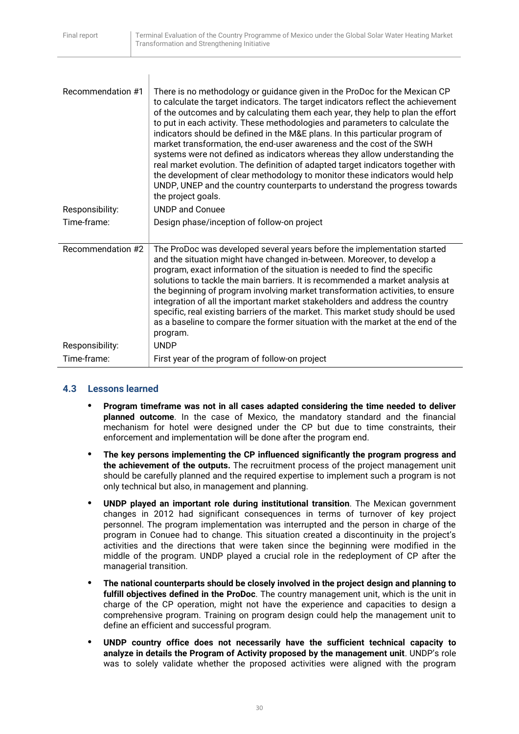| Recommendation #1 | There is no methodology or guidance given in the ProDoc for the Mexican CP<br>to calculate the target indicators. The target indicators reflect the achievement<br>of the outcomes and by calculating them each year, they help to plan the effort<br>to put in each activity. These methodologies and parameters to calculate the<br>indicators should be defined in the M&E plans. In this particular program of<br>market transformation, the end-user awareness and the cost of the SWH<br>systems were not defined as indicators whereas they allow understanding the<br>real market evolution. The definition of adapted target indicators together with<br>the development of clear methodology to monitor these indicators would help<br>UNDP, UNEP and the country counterparts to understand the progress towards<br>the project goals. |
|-------------------|---------------------------------------------------------------------------------------------------------------------------------------------------------------------------------------------------------------------------------------------------------------------------------------------------------------------------------------------------------------------------------------------------------------------------------------------------------------------------------------------------------------------------------------------------------------------------------------------------------------------------------------------------------------------------------------------------------------------------------------------------------------------------------------------------------------------------------------------------|
| Responsibility:   | <b>UNDP</b> and Conuee                                                                                                                                                                                                                                                                                                                                                                                                                                                                                                                                                                                                                                                                                                                                                                                                                            |
| Time-frame:       | Design phase/inception of follow-on project                                                                                                                                                                                                                                                                                                                                                                                                                                                                                                                                                                                                                                                                                                                                                                                                       |
| Recommendation #2 | The ProDoc was developed several years before the implementation started<br>and the situation might have changed in-between. Moreover, to develop a<br>program, exact information of the situation is needed to find the specific<br>solutions to tackle the main barriers. It is recommended a market analysis at<br>the beginning of program involving market transformation activities, to ensure<br>integration of all the important market stakeholders and address the country<br>specific, real existing barriers of the market. This market study should be used<br>as a baseline to compare the former situation with the market at the end of the<br>program.                                                                                                                                                                           |
| Responsibility:   | <b>UNDP</b>                                                                                                                                                                                                                                                                                                                                                                                                                                                                                                                                                                                                                                                                                                                                                                                                                                       |
| Time-frame:       | First year of the program of follow-on project                                                                                                                                                                                                                                                                                                                                                                                                                                                                                                                                                                                                                                                                                                                                                                                                    |

# <span id="page-30-0"></span>**4.3 Lessons learned**

- **• Program timeframe was not in all cases adapted considering the time needed to deliver planned outcome**. In the case of Mexico, the mandatory standard and the financial mechanism for hotel were designed under the CP but due to time constraints, their enforcement and implementation will be done after the program end.
- **• The key persons implementing the CP influenced significantly the program progress and the achievement of the outputs.** The recruitment process of the project management unit should be carefully planned and the required expertise to implement such a program is not only technical but also, in management and planning.
- **• UNDP played an important role during institutional transition**. The Mexican government changes in 2012 had significant consequences in terms of turnover of key project personnel. The program implementation was interrupted and the person in charge of the program in Conuee had to change. This situation created a discontinuity in the project's activities and the directions that were taken since the beginning were modified in the middle of the program. UNDP played a crucial role in the redeployment of CP after the managerial transition.
- **• The national counterparts should be closely involved in the project design and planning to fulfill objectives defined in the ProDoc**. The country management unit, which is the unit in charge of the CP operation, might not have the experience and capacities to design a comprehensive program. Training on program design could help the management unit to define an efficient and successful program.
- **• UNDP country office does not necessarily have the sufficient technical capacity to analyze in details the Program of Activity proposed by the management unit**. UNDP's role was to solely validate whether the proposed activities were aligned with the program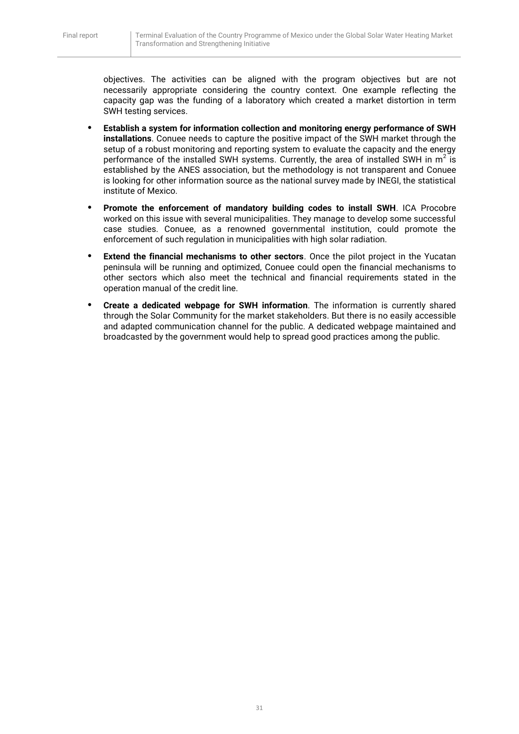objectives. The activities can be aligned with the program objectives but are not necessarily appropriate considering the country context. One example reflecting the capacity gap was the funding of a laboratory which created a market distortion in term SWH testing services.

- **• Establish a system for information collection and monitoring energy performance of SWH installations**. Conuee needs to capture the positive impact of the SWH market through the setup of a robust monitoring and reporting system to evaluate the capacity and the energy performance of the installed SWH systems. Currently, the area of installed SWH in  $m^2$  is established by the ANES association, but the methodology is not transparent and Conuee is looking for other information source as the national survey made by INEGI, the statistical institute of Mexico.
- **• Promote the enforcement of mandatory building codes to install SWH**. ICA Procobre worked on this issue with several municipalities. They manage to develop some successful case studies. Conuee, as a renowned governmental institution, could promote the enforcement of such regulation in municipalities with high solar radiation.
- **Extend the financial mechanisms to other sectors**. Once the pilot project in the Yucatan peninsula will be running and optimized, Conuee could open the financial mechanisms to other sectors which also meet the technical and financial requirements stated in the operation manual of the credit line.
- **• Create a dedicated webpage for SWH information**. The information is currently shared through the Solar Community for the market stakeholders. But there is no easily accessible and adapted communication channel for the public. A dedicated webpage maintained and broadcasted by the government would help to spread good practices among the public.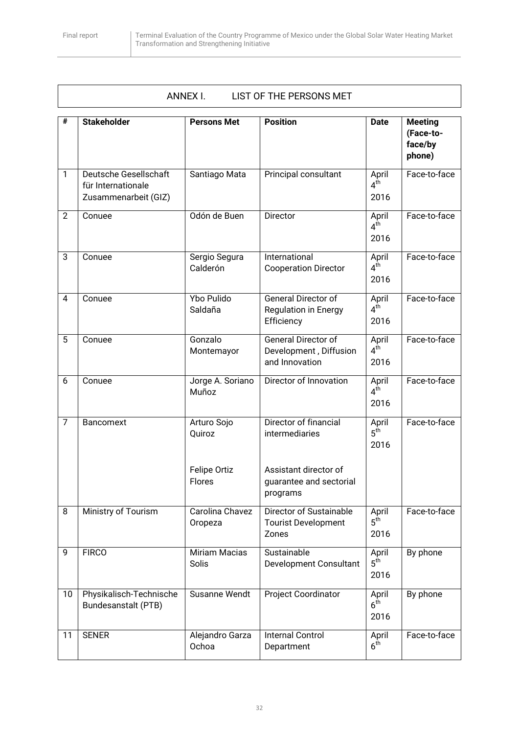# <span id="page-32-0"></span>ANNEX I. LIST OF THE PERSONS MET

| #              | <b>Stakeholder</b>                                                  | <b>Persons Met</b>            | <b>Position</b>                                                        | <b>Date</b>                      | <b>Meeting</b><br>(Face-to-<br>face/by<br>phone) |
|----------------|---------------------------------------------------------------------|-------------------------------|------------------------------------------------------------------------|----------------------------------|--------------------------------------------------|
| $\mathbf{1}$   | Deutsche Gesellschaft<br>für Internationale<br>Zusammenarbeit (GIZ) | Santiago Mata                 | Principal consultant                                                   | April<br>4 <sup>th</sup><br>2016 | Face-to-face                                     |
| $\overline{2}$ | Conuee                                                              | Odón de Buen                  | Director                                                               | April<br>4 <sup>th</sup><br>2016 | Face-to-face                                     |
| 3              | Conuee                                                              | Sergio Segura<br>Calderón     | International<br><b>Cooperation Director</b>                           | April<br>$4^{\dot{t}h}$<br>2016  | Face-to-face                                     |
| 4              | Conuee                                                              | <b>Ybo Pulido</b><br>Saldaña  | General Director of<br><b>Regulation in Energy</b><br>Efficiency       | April<br>$4^{\text{th}}$<br>2016 | Face-to-face                                     |
| 5              | Conuee                                                              | Gonzalo<br>Montemayor         | <b>General Director of</b><br>Development, Diffusion<br>and Innovation | April<br>$4^{\dot{t}h}$<br>2016  | Face-to-face                                     |
| 6              | Conuee                                                              | Jorge A. Soriano<br>Muñoz     | Director of Innovation                                                 | April<br>$4^{\text{th}}$<br>2016 | Face-to-face                                     |
| $\overline{7}$ | Bancomext                                                           | Arturo Sojo<br>Quiroz         | Director of financial<br>intermediaries                                | April<br>5 <sup>th</sup><br>2016 | Face-to-face                                     |
|                |                                                                     | Felipe Ortiz<br><b>Flores</b> | Assistant director of<br>guarantee and sectorial<br>programs           |                                  |                                                  |
| 8              | Ministry of Tourism                                                 | Carolina Chavez<br>Oropeza    | <b>Director of Sustainable</b><br><b>Tourist Development</b><br>Zones  | April<br>$5^{\text{th}}$<br>2016 | Face-to-face                                     |
| 9              | <b>FIRCO</b>                                                        | Miriam Macias<br>Solis        | Sustainable<br>Development Consultant                                  | April<br>$5^{\text{th}}$<br>2016 | By phone                                         |
| 10             | Physikalisch-Technische<br>Bundesanstalt (PTB)                      | Susanne Wendt                 | Project Coordinator                                                    | April<br>6 <sup>th</sup><br>2016 | By phone                                         |
| 11             | <b>SENER</b>                                                        | Alejandro Garza<br>Ochoa      | <b>Internal Control</b><br>Department                                  | April<br>$6^{\dot{t}h}$          | Face-to-face                                     |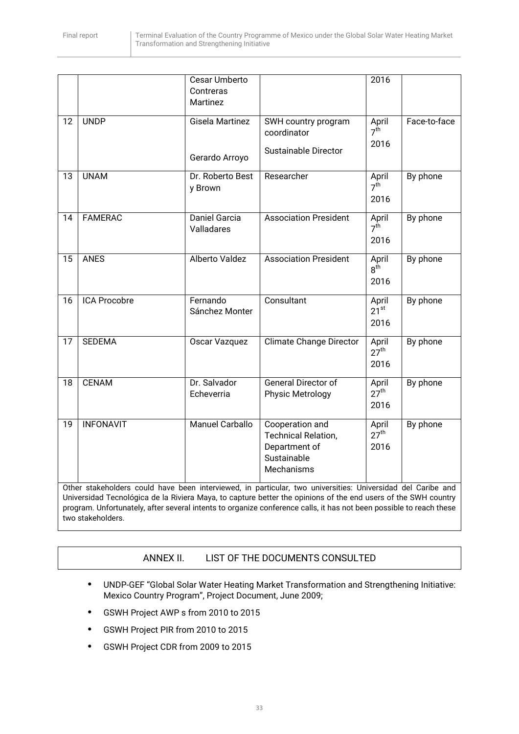|    |                     | Cesar Umberto<br>Contreras<br>Martinez |                                                                                                                                                                                                            | 2016                              |              |
|----|---------------------|----------------------------------------|------------------------------------------------------------------------------------------------------------------------------------------------------------------------------------------------------------|-----------------------------------|--------------|
| 12 | <b>UNDP</b>         | Gisela Martinez<br>Gerardo Arroyo      | SWH country program<br>coordinator<br><b>Sustainable Director</b>                                                                                                                                          | April<br>7 <sup>th</sup><br>2016  | Face-to-face |
| 13 | <b>UNAM</b>         | Dr. Roberto Best<br>y Brown            | Researcher                                                                                                                                                                                                 | April<br>7 <sup>th</sup><br>2016  | By phone     |
| 14 | <b>FAMERAC</b>      | Daniel Garcia<br>Valladares            | <b>Association President</b>                                                                                                                                                                               | April<br>7 <sup>th</sup><br>2016  | By phone     |
| 15 | <b>ANES</b>         | Alberto Valdez                         | <b>Association President</b>                                                                                                                                                                               | April<br>$8^{\dot{t}h}$<br>2016   | By phone     |
| 16 | <b>ICA Procobre</b> | Fernando<br>Sánchez Monter             | Consultant                                                                                                                                                                                                 | April<br>$21^{st}$<br>2016        | By phone     |
| 17 | <b>SEDEMA</b>       | Oscar Vazquez                          | <b>Climate Change Director</b>                                                                                                                                                                             | April<br>$27^{\text{th}}$<br>2016 | By phone     |
| 18 | <b>CENAM</b>        | Dr. Salvador<br>Echeverria             | General Director of<br>Physic Metrology                                                                                                                                                                    | April<br>$27^{\text{th}}$<br>2016 | By phone     |
| 19 | <b>INFONAVIT</b>    | <b>Manuel Carballo</b>                 | Cooperation and<br><b>Technical Relation,</b><br>Department of<br>Sustainable<br>Mechanisms<br>Other stakeholders could have been interviewed, in particular, two universities: Universidad del Caribe and | April<br>$27^{\text{th}}$<br>2016 | By phone     |

<span id="page-33-0"></span>Universidad Tecnológica de la Riviera Maya, to capture better the opinions of the end users of the SWH country program. Unfortunately, after several intents to organize conference calls, it has not been possible to reach these two stakeholders.

# ANNEX II. LIST OF THE DOCUMENTS CONSULTED

- **•** UNDP-GEF "Global Solar Water Heating Market Transformation and Strengthening Initiative: Mexico Country Program", Project Document, June 2009;
- **•** GSWH Project AWP s from 2010 to 2015
- **•** GSWH Project PIR from 2010 to 2015
- **•** GSWH Project CDR from 2009 to 2015